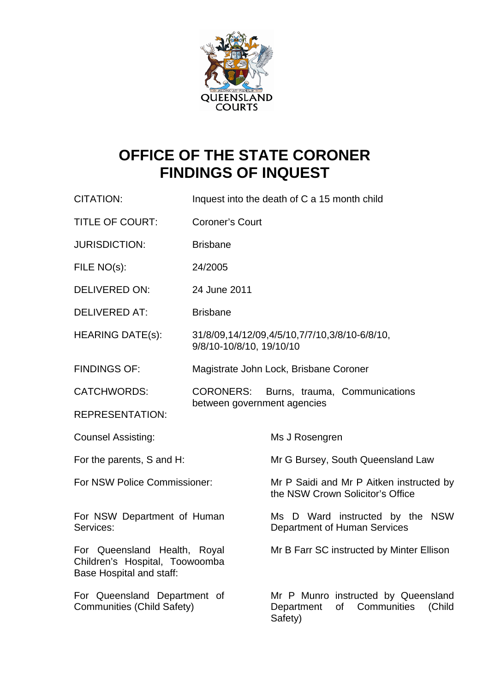

# **OFFICE OF THE STATE CORONER FINDINGS OF INQUEST**

CITATION: Inquest into the death of C a 15 month child

TITLE OF COURT: Coroner's Court

- JURISDICTION: Brisbane
- FILE NO(s): 24/2005
- DELIVERED ON: 24 June 2011
- DELIVERED AT: Brisbane
- HEARING DATE(s): 31/8/09,14/12/09,4/5/10,7/7/10,3/8/10-6/8/10, 9/8/10-10/8/10, 19/10/10
- FINDINGS OF: Magistrate John Lock, Brisbane Coroner

CATCHWORDS: CORONERS: Burns, trauma, Communications between government agencies

REPRESENTATION:

Counsel Assisting: Ms J Rosengren

For the parents, S and H: Mr G Bursey, South Queensland Law

For NSW Police Commissioner: Mr P Saidi and Mr P Aitken instructed by

For NSW Department of Human Services:

For Queensland Health, Royal Children's Hospital, Toowoomba Base Hospital and staff:

For Queensland Department of Communities (Child Safety)

Ms D Ward instructed by the NSW

the NSW Crown Solicitor's Office

Department of Human Services

Mr B Farr SC instructed by Minter Ellison

Mr P Munro instructed by Queensland Department of Communities (Child Safety)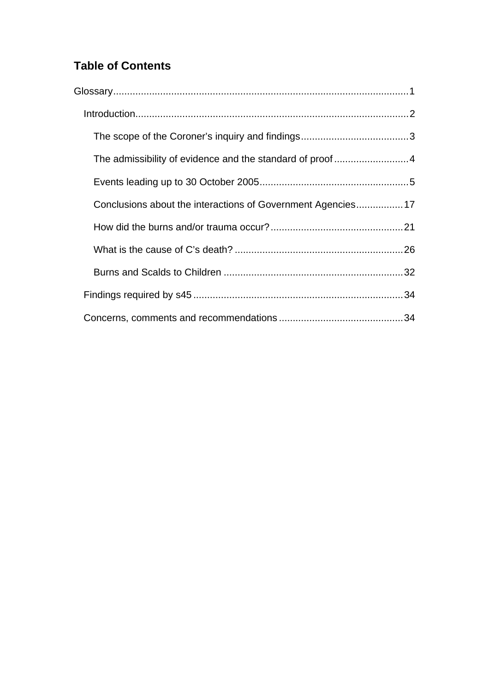## **Table of Contents**

| Conclusions about the interactions of Government Agencies17 |  |
|-------------------------------------------------------------|--|
|                                                             |  |
|                                                             |  |
|                                                             |  |
|                                                             |  |
|                                                             |  |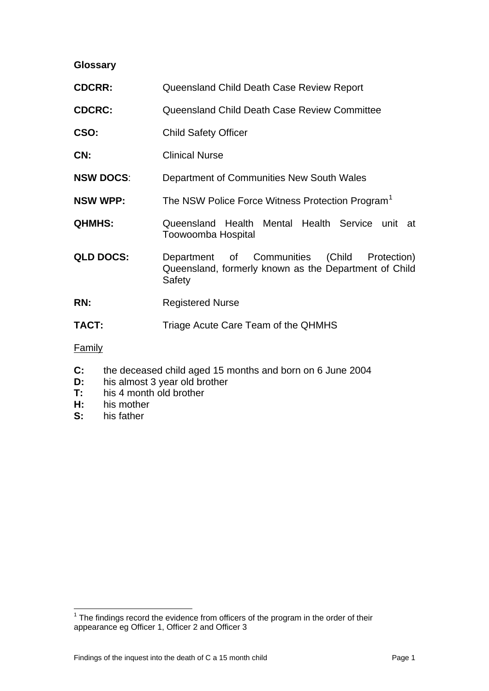**Glossary** 

| <b>CDCRR:</b>     | Queensland Child Death Case Review Report                                                                                |
|-------------------|--------------------------------------------------------------------------------------------------------------------------|
| <b>CDCRC:</b>     | Queensland Child Death Case Review Committee                                                                             |
| CSO:              | <b>Child Safety Officer</b>                                                                                              |
| CN:               | <b>Clinical Nurse</b>                                                                                                    |
| <b>NSW DOCS:</b>  | Department of Communities New South Wales                                                                                |
| <b>NSW WPP:</b>   | The NSW Police Force Witness Protection Program <sup>1</sup>                                                             |
| <b>QHMHS:</b>     | Queensland Health Mental Health Service unit at<br>Toowoomba Hospital                                                    |
| <b>QLD DOCS:</b>  | of Communities<br>(Child<br>Department<br>Protection)<br>Queensland, formerly known as the Department of Child<br>Safety |
| RN:               | <b>Registered Nurse</b>                                                                                                  |
| TACT:             | Triage Acute Care Team of the QHMHS                                                                                      |
| المستقطع المستحدث |                                                                                                                          |

**Family** 

- **C:** the deceased child aged 15 months and born on 6 June 2004
- **D:** his almost 3 year old brother
- **T:** his 4 month old brother
- **H:** his mother
- **S:** his father

<span id="page-2-0"></span>The findings record the evidence from officers of the program in the order of their appearance eg Officer 1, Officer 2 and Officer 3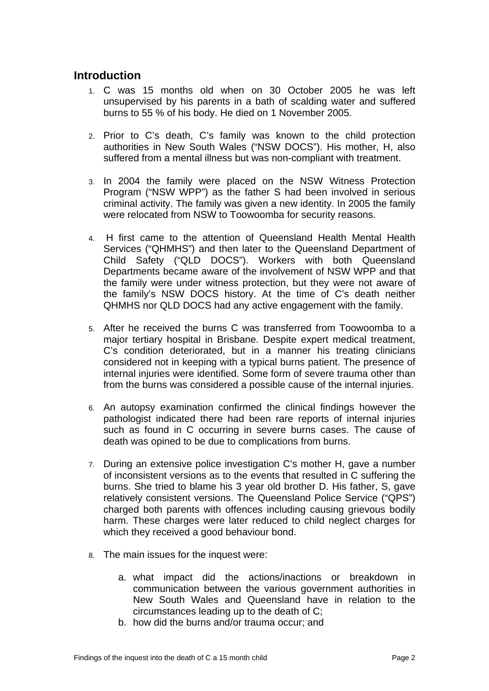## <span id="page-3-0"></span>**Introduction**

- 1. C was 15 months old when on 30 October 2005 he was left unsupervised by his parents in a bath of scalding water and suffered burns to 55 % of his body. He died on 1 November 2005.
- 2. Prior to C's death, C's family was known to the child protection authorities in New South Wales ("NSW DOCS"). His mother, H, also suffered from a mental illness but was non-compliant with treatment.
- 3. In 2004 the family were placed on the NSW Witness Protection Program ("NSW WPP") as the father S had been involved in serious criminal activity. The family was given a new identity. In 2005 the family were relocated from NSW to Toowoomba for security reasons.
- 4. H first came to the attention of Queensland Health Mental Health Services ("QHMHS") and then later to the Queensland Department of Child Safety ("QLD DOCS"). Workers with both Queensland Departments became aware of the involvement of NSW WPP and that the family were under witness protection, but they were not aware of the family's NSW DOCS history. At the time of C's death neither QHMHS nor QLD DOCS had any active engagement with the family.
- 5. After he received the burns C was transferred from Toowoomba to a major tertiary hospital in Brisbane. Despite expert medical treatment, C's condition deteriorated, but in a manner his treating clinicians considered not in keeping with a typical burns patient. The presence of internal injuries were identified. Some form of severe trauma other than from the burns was considered a possible cause of the internal injuries.
- 6. An autopsy examination confirmed the clinical findings however the pathologist indicated there had been rare reports of internal injuries such as found in C occurring in severe burns cases. The cause of death was opined to be due to complications from burns.
- 7. During an extensive police investigation C's mother H, gave a number of inconsistent versions as to the events that resulted in C suffering the burns. She tried to blame his 3 year old brother D. His father, S, gave relatively consistent versions. The Queensland Police Service ("QPS") charged both parents with offences including causing grievous bodily harm. These charges were later reduced to child neglect charges for which they received a good behaviour bond.
- 8. The main issues for the inquest were:
	- a. what impact did the actions/inactions or breakdown in communication between the various government authorities in New South Wales and Queensland have in relation to the circumstances leading up to the death of C;
	- b. how did the burns and/or trauma occur; and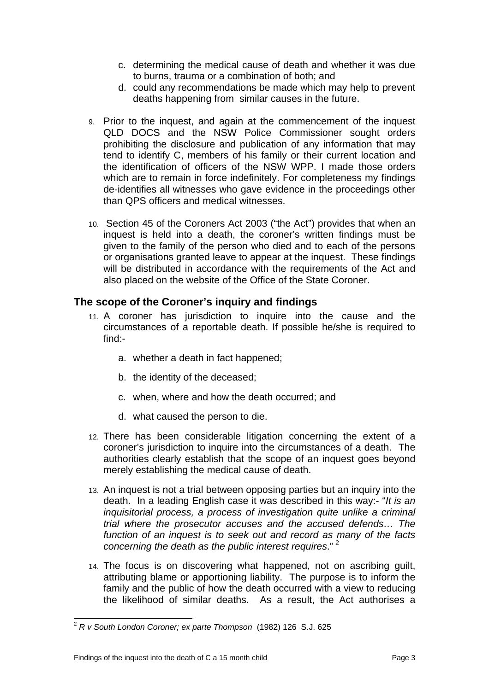- <span id="page-4-0"></span>c. determining the medical cause of death and whether it was due to burns, trauma or a combination of both; and
- d. could any recommendations be made which may help to prevent deaths happening from similar causes in the future.
- 9. Prior to the inquest, and again at the commencement of the inquest QLD DOCS and the NSW Police Commissioner sought orders prohibiting the disclosure and publication of any information that may tend to identify C, members of his family or their current location and the identification of officers of the NSW WPP. I made those orders which are to remain in force indefinitely. For completeness my findings de-identifies all witnesses who gave evidence in the proceedings other than QPS officers and medical witnesses.
- 10. Section 45 of the Coroners Act 2003 ("the Act") provides that when an inquest is held into a death, the coroner's written findings must be given to the family of the person who died and to each of the persons or organisations granted leave to appear at the inquest. These findings will be distributed in accordance with the requirements of the Act and also placed on the website of the Office of the State Coroner.

## **The scope of the Coroner's inquiry and findings**

- 11. A coroner has jurisdiction to inquire into the cause and the circumstances of a reportable death. If possible he/she is required to find:
	- a. whether a death in fact happened;
	- b. the identity of the deceased;
	- c. when, where and how the death occurred; and
	- d. what caused the person to die.
- 12. There has been considerable litigation concerning the extent of a coroner's jurisdiction to inquire into the circumstances of a death. The authorities clearly establish that the scope of an inquest goes beyond merely establishing the medical cause of death.
- 13. An inquest is not a trial between opposing parties but an inquiry into the death. In a leading English case it was described in this way:- "*It is an inquisitorial process, a process of investigation quite unlike a criminal trial where the prosecutor accuses and the accused defends… The function of an inquest is to seek out and record as many of the facts concerning the death as the public interest requires*." [2](#page-4-1)
- 14. The focus is on discovering what happened, not on ascribing guilt, attributing blame or apportioning liability. The purpose is to inform the family and the public of how the death occurred with a view to reducing the likelihood of similar deaths. As a result, the Act authorises a

<span id="page-4-1"></span><sup>2</sup> *R v South London Coroner; ex parte Thompson* (1982) 126 S.J. 625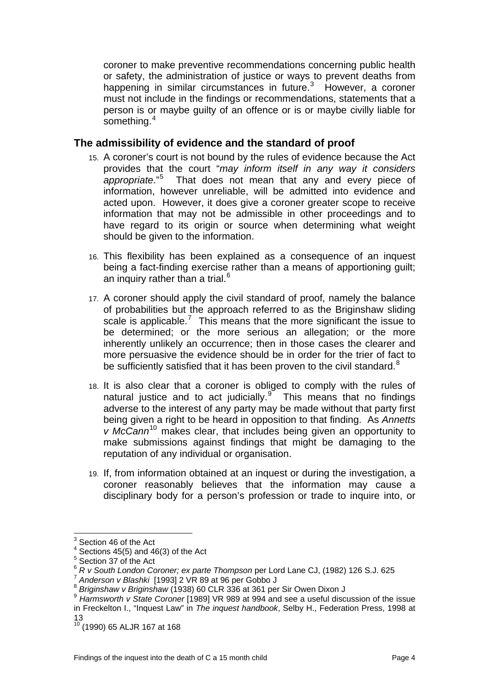<span id="page-5-0"></span>coroner to make preventive recommendations concerning public health or safety, the administration of justice or ways to prevent deaths from happening in similar circumstances in future.<sup>[3](#page-5-1)</sup> However, a coroner must not include in the findings or recommendations, statements that a person is or maybe guilty of an offence or is or maybe civilly liable for something.<sup>[4](#page-5-2)</sup>

### **The admissibility of evidence and the standard of proof**

- 15. A coroner's court is not bound by the rules of evidence because the Act provides that the court "*may inform itself in any way it considers appropriate*."[5](#page-5-3) That does not mean that any and every piece of information, however unreliable, will be admitted into evidence and acted upon. However, it does give a coroner greater scope to receive information that may not be admissible in other proceedings and to have regard to its origin or source when determining what weight should be given to the information.
- 16. This flexibility has been explained as a consequence of an inquest being a fact-finding exercise rather than a means of apportioning guilt; an inquiry rather than a trial. $^6$  $^6$
- 17. A coroner should apply the civil standard of proof, namely the balance of probabilities but the approach referred to as the Briginshaw sliding scale is applicable.<sup>[7](#page-5-5)</sup> This means that the more significant the issue to be determined; or the more serious an allegation; or the more inherently unlikely an occurrence; then in those cases the clearer and more persuasive the evidence should be in order for the trier of fact to be sufficiently satisfied that it has been proven to the civil standard. $8$
- 18. It is also clear that a coroner is obliged to comply with the rules of natural justice and to act judicially. $\frac{9}{10}$  $\frac{9}{10}$  $\frac{9}{10}$  This means that no findings adverse to the interest of any party may be made without that party first being given a right to be heard in opposition to that finding. As *Annetts v McCann*[10](#page-5-8) makes clear, that includes being given an opportunity to make submissions against findings that might be damaging to the reputation of any individual or organisation.
- 19. If, from information obtained at an inquest or during the investigation, a coroner reasonably believes that the information may cause a disciplinary body for a person's profession or trade to inquire into, or

 3 Section 46 of the Act

<span id="page-5-2"></span><span id="page-5-1"></span> $4$  Sections 45(5) and 46(3) of the Act

<sup>&</sup>lt;sup>5</sup> Section 37 of the Act

<span id="page-5-7"></span><span id="page-5-6"></span>

<span id="page-5-5"></span><span id="page-5-4"></span><span id="page-5-3"></span><sup>&</sup>lt;sup>6</sup> R v South London Coroner; ex parte Thompson per Lord Lane CJ, (1982) 126 S.J. 625<br>
<sup>7</sup> Anderson v Blashki [1993] 2 VR 89 at 96 per Gobbo J<br>
<sup>8</sup> Briginshaw v Briginshaw (1938) 60 CLR 336 at 361 per Sir Owen Dixon J<br>
<sup>9</sup> in Freckelton I., "Inquest Law" in *The inquest handbook*, Selby H., Federation Press, 1998 at 13

<span id="page-5-8"></span><sup>10 (1990) 65</sup> ALJR 167 at 168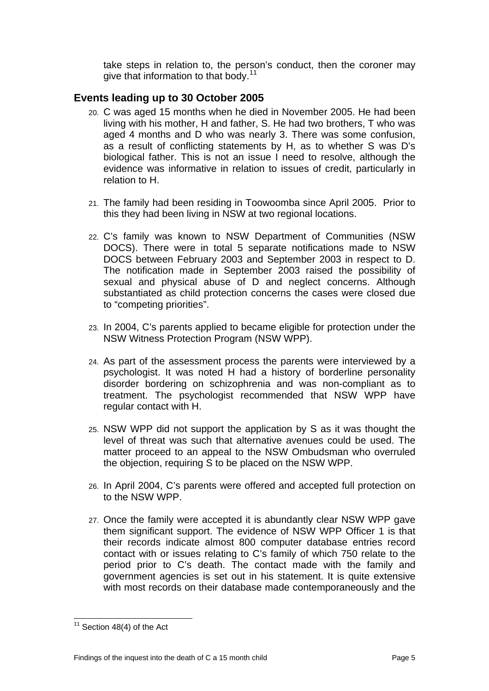take steps in relation to, the person's conduct, then the coroner may give that information to that body.<sup>[11](#page-6-1)</sup>

## <span id="page-6-0"></span>**Events leading up to 30 October 2005**

- 20. C was aged 15 months when he died in November 2005. He had been living with his mother, H and father, S. He had two brothers, T who was aged 4 months and D who was nearly 3. There was some confusion, as a result of conflicting statements by H, as to whether S was D's biological father. This is not an issue I need to resolve, although the evidence was informative in relation to issues of credit, particularly in relation to H.
- 21. The family had been residing in Toowoomba since April 2005. Prior to this they had been living in NSW at two regional locations.
- 22. C's family was known to NSW Department of Communities (NSW DOCS). There were in total 5 separate notifications made to NSW DOCS between February 2003 and September 2003 in respect to D. The notification made in September 2003 raised the possibility of sexual and physical abuse of D and neglect concerns. Although substantiated as child protection concerns the cases were closed due to "competing priorities".
- 23. In 2004, C's parents applied to became eligible for protection under the NSW Witness Protection Program (NSW WPP).
- 24. As part of the assessment process the parents were interviewed by a psychologist. It was noted H had a history of borderline personality disorder bordering on schizophrenia and was non-compliant as to treatment. The psychologist recommended that NSW WPP have regular contact with H.
- 25. NSW WPP did not support the application by S as it was thought the level of threat was such that alternative avenues could be used. The matter proceed to an appeal to the NSW Ombudsman who overruled the objection, requiring S to be placed on the NSW WPP.
- 26. In April 2004, C's parents were offered and accepted full protection on to the NSW WPP.
- 27. Once the family were accepted it is abundantly clear NSW WPP gave them significant support. The evidence of NSW WPP Officer 1 is that their records indicate almost 800 computer database entries record contact with or issues relating to C's family of which 750 relate to the period prior to C's death. The contact made with the family and government agencies is set out in his statement. It is quite extensive with most records on their database made contemporaneously and the

<span id="page-6-1"></span> $11$  Section 48(4) of the Act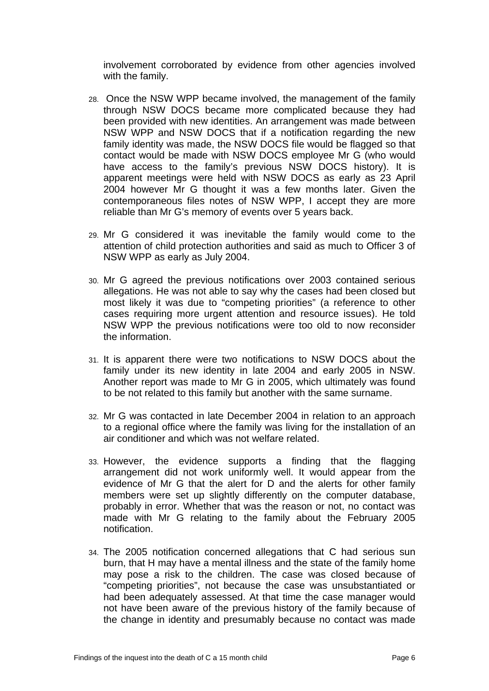involvement corroborated by evidence from other agencies involved with the family.

- 28. Once the NSW WPP became involved, the management of the family through NSW DOCS became more complicated because they had been provided with new identities. An arrangement was made between NSW WPP and NSW DOCS that if a notification regarding the new family identity was made, the NSW DOCS file would be flagged so that contact would be made with NSW DOCS employee Mr G (who would have access to the family's previous NSW DOCS history). It is apparent meetings were held with NSW DOCS as early as 23 April 2004 however Mr G thought it was a few months later. Given the contemporaneous files notes of NSW WPP, I accept they are more reliable than Mr G's memory of events over 5 years back.
- 29. Mr G considered it was inevitable the family would come to the attention of child protection authorities and said as much to Officer 3 of NSW WPP as early as July 2004.
- 30. Mr G agreed the previous notifications over 2003 contained serious allegations. He was not able to say why the cases had been closed but most likely it was due to "competing priorities" (a reference to other cases requiring more urgent attention and resource issues). He told NSW WPP the previous notifications were too old to now reconsider the information.
- 31. It is apparent there were two notifications to NSW DOCS about the family under its new identity in late 2004 and early 2005 in NSW. Another report was made to Mr G in 2005, which ultimately was found to be not related to this family but another with the same surname.
- 32. Mr G was contacted in late December 2004 in relation to an approach to a regional office where the family was living for the installation of an air conditioner and which was not welfare related.
- 33. However, the evidence supports a finding that the flagging arrangement did not work uniformly well. It would appear from the evidence of Mr G that the alert for D and the alerts for other family members were set up slightly differently on the computer database, probably in error. Whether that was the reason or not, no contact was made with Mr G relating to the family about the February 2005 notification.
- 34. The 2005 notification concerned allegations that C had serious sun burn, that H may have a mental illness and the state of the family home may pose a risk to the children. The case was closed because of "competing priorities", not because the case was unsubstantiated or had been adequately assessed. At that time the case manager would not have been aware of the previous history of the family because of the change in identity and presumably because no contact was made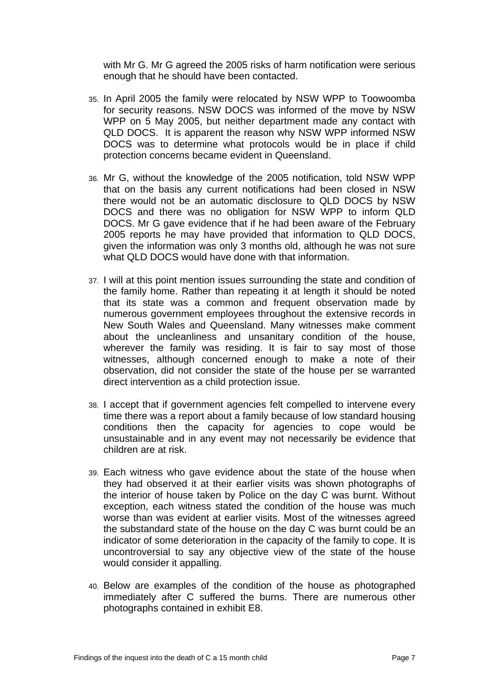with Mr G. Mr G agreed the 2005 risks of harm notification were serious enough that he should have been contacted.

- 35. In April 2005 the family were relocated by NSW WPP to Toowoomba for security reasons. NSW DOCS was informed of the move by NSW WPP on 5 May 2005, but neither department made any contact with QLD DOCS. It is apparent the reason why NSW WPP informed NSW DOCS was to determine what protocols would be in place if child protection concerns became evident in Queensland.
- 36. Mr G, without the knowledge of the 2005 notification, told NSW WPP that on the basis any current notifications had been closed in NSW there would not be an automatic disclosure to QLD DOCS by NSW DOCS and there was no obligation for NSW WPP to inform QLD DOCS. Mr G gave evidence that if he had been aware of the February 2005 reports he may have provided that information to QLD DOCS, given the information was only 3 months old, although he was not sure what QLD DOCS would have done with that information.
- 37. I will at this point mention issues surrounding the state and condition of the family home. Rather than repeating it at length it should be noted that its state was a common and frequent observation made by numerous government employees throughout the extensive records in New South Wales and Queensland. Many witnesses make comment about the uncleanliness and unsanitary condition of the house, wherever the family was residing. It is fair to say most of those witnesses, although concerned enough to make a note of their observation, did not consider the state of the house per se warranted direct intervention as a child protection issue.
- 38. I accept that if government agencies felt compelled to intervene every time there was a report about a family because of low standard housing conditions then the capacity for agencies to cope would be unsustainable and in any event may not necessarily be evidence that children are at risk.
- 39. Each witness who gave evidence about the state of the house when they had observed it at their earlier visits was shown photographs of the interior of house taken by Police on the day C was burnt. Without exception, each witness stated the condition of the house was much worse than was evident at earlier visits. Most of the witnesses agreed the substandard state of the house on the day C was burnt could be an indicator of some deterioration in the capacity of the family to cope. It is uncontroversial to say any objective view of the state of the house would consider it appalling.
- 40. Below are examples of the condition of the house as photographed immediately after C suffered the burns. There are numerous other photographs contained in exhibit E8.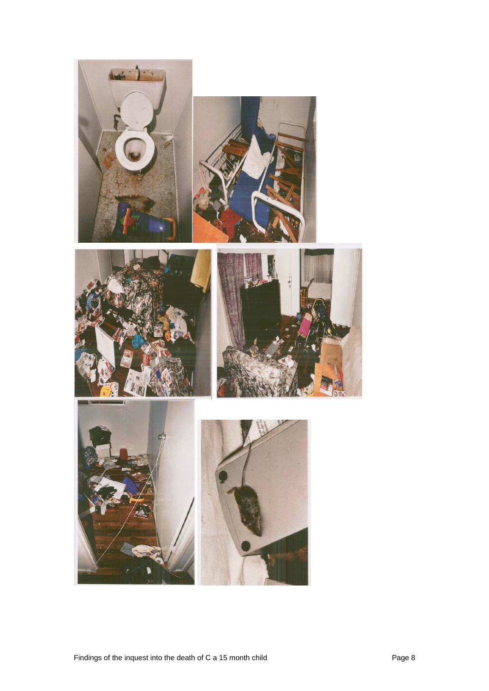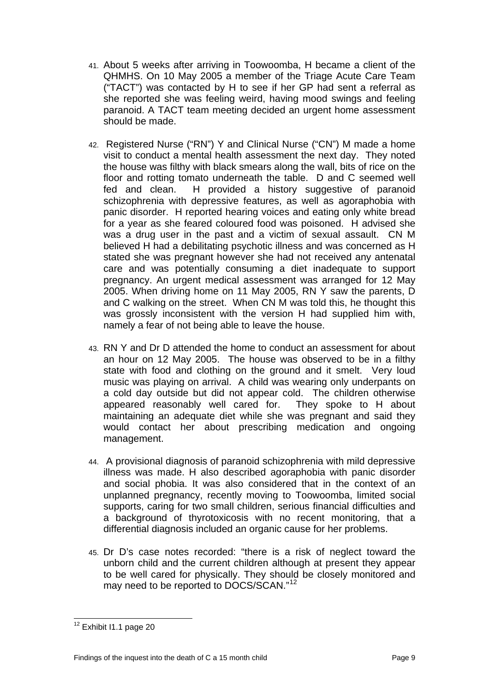- 41. About 5 weeks after arriving in Toowoomba, H became a client of the QHMHS. On 10 May 2005 a member of the Triage Acute Care Team ("TACT") was contacted by H to see if her GP had sent a referral as she reported she was feeling weird, having mood swings and feeling paranoid. A TACT team meeting decided an urgent home assessment should be made.
- 42. Registered Nurse ("RN") Y and Clinical Nurse ("CN") M made a home visit to conduct a mental health assessment the next day. They noted the house was filthy with black smears along the wall, bits of rice on the floor and rotting tomato underneath the table. D and C seemed well fed and clean. H provided a history suggestive of paranoid schizophrenia with depressive features, as well as agoraphobia with panic disorder. H reported hearing voices and eating only white bread for a year as she feared coloured food was poisoned. H advised she was a drug user in the past and a victim of sexual assault. CN M believed H had a debilitating psychotic illness and was concerned as H stated she was pregnant however she had not received any antenatal care and was potentially consuming a diet inadequate to support pregnancy. An urgent medical assessment was arranged for 12 May 2005. When driving home on 11 May 2005, RN Y saw the parents, D and C walking on the street. When CN M was told this, he thought this was grossly inconsistent with the version H had supplied him with, namely a fear of not being able to leave the house.
- 43. RN Y and Dr D attended the home to conduct an assessment for about an hour on 12 May 2005. The house was observed to be in a filthy state with food and clothing on the ground and it smelt. Very loud music was playing on arrival. A child was wearing only underpants on a cold day outside but did not appear cold. The children otherwise appeared reasonably well cared for. They spoke to H about maintaining an adequate diet while she was pregnant and said they would contact her about prescribing medication and ongoing management.
- 44. A provisional diagnosis of paranoid schizophrenia with mild depressive illness was made. H also described agoraphobia with panic disorder and social phobia. It was also considered that in the context of an unplanned pregnancy, recently moving to Toowoomba, limited social supports, caring for two small children, serious financial difficulties and a background of thyrotoxicosis with no recent monitoring, that a differential diagnosis included an organic cause for her problems.
- 45. Dr D's case notes recorded: "there is a risk of neglect toward the unborn child and the current children although at present they appear to be well cared for physically. They should be closely monitored and may need to be reported to DOCS/SCAN."[12](#page-10-0)

<span id="page-10-0"></span> $12$  Exhibit I1.1 page 20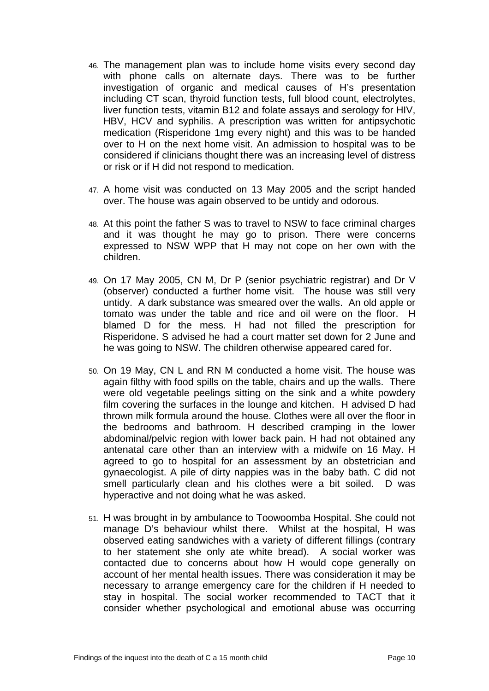- 46. The management plan was to include home visits every second day with phone calls on alternate days. There was to be further investigation of organic and medical causes of H's presentation including CT scan, thyroid function tests, full blood count, electrolytes, liver function tests, vitamin B12 and folate assays and serology for HIV, HBV, HCV and syphilis. A prescription was written for antipsychotic medication (Risperidone 1mg every night) and this was to be handed over to H on the next home visit. An admission to hospital was to be considered if clinicians thought there was an increasing level of distress or risk or if H did not respond to medication.
- 47. A home visit was conducted on 13 May 2005 and the script handed over. The house was again observed to be untidy and odorous.
- 48. At this point the father S was to travel to NSW to face criminal charges and it was thought he may go to prison. There were concerns expressed to NSW WPP that H may not cope on her own with the children.
- 49. On 17 May 2005, CN M, Dr P (senior psychiatric registrar) and Dr V (observer) conducted a further home visit. The house was still very untidy. A dark substance was smeared over the walls. An old apple or tomato was under the table and rice and oil were on the floor. H blamed D for the mess. H had not filled the prescription for Risperidone. S advised he had a court matter set down for 2 June and he was going to NSW. The children otherwise appeared cared for.
- 50. On 19 May, CN L and RN M conducted a home visit. The house was again filthy with food spills on the table, chairs and up the walls. There were old vegetable peelings sitting on the sink and a white powdery film covering the surfaces in the lounge and kitchen. H advised D had thrown milk formula around the house. Clothes were all over the floor in the bedrooms and bathroom. H described cramping in the lower abdominal/pelvic region with lower back pain. H had not obtained any antenatal care other than an interview with a midwife on 16 May. H agreed to go to hospital for an assessment by an obstetrician and gynaecologist. A pile of dirty nappies was in the baby bath. C did not smell particularly clean and his clothes were a bit soiled. D was hyperactive and not doing what he was asked.
- 51. H was brought in by ambulance to Toowoomba Hospital. She could not manage D's behaviour whilst there. Whilst at the hospital, H was observed eating sandwiches with a variety of different fillings (contrary to her statement she only ate white bread). A social worker was contacted due to concerns about how H would cope generally on account of her mental health issues. There was consideration it may be necessary to arrange emergency care for the children if H needed to stay in hospital. The social worker recommended to TACT that it consider whether psychological and emotional abuse was occurring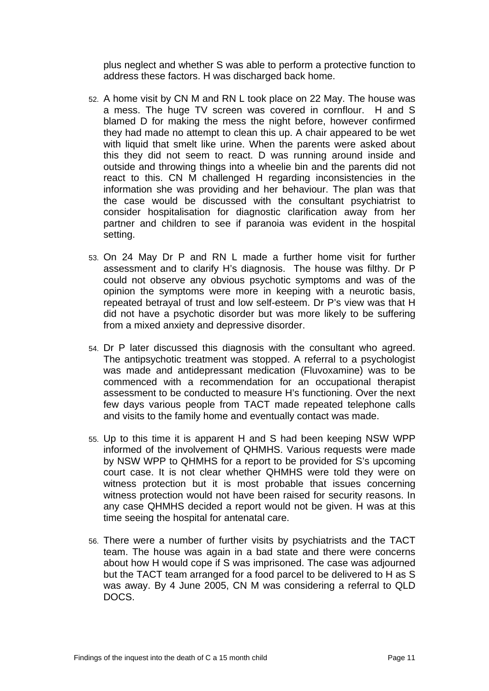plus neglect and whether S was able to perform a protective function to address these factors. H was discharged back home.

- 52. A home visit by CN M and RN L took place on 22 May. The house was a mess. The huge TV screen was covered in cornflour. H and S blamed D for making the mess the night before, however confirmed they had made no attempt to clean this up. A chair appeared to be wet with liquid that smelt like urine. When the parents were asked about this they did not seem to react. D was running around inside and outside and throwing things into a wheelie bin and the parents did not react to this. CN M challenged H regarding inconsistencies in the information she was providing and her behaviour. The plan was that the case would be discussed with the consultant psychiatrist to consider hospitalisation for diagnostic clarification away from her partner and children to see if paranoia was evident in the hospital setting.
- 53. On 24 May Dr P and RN L made a further home visit for further assessment and to clarify H's diagnosis. The house was filthy. Dr P could not observe any obvious psychotic symptoms and was of the opinion the symptoms were more in keeping with a neurotic basis, repeated betrayal of trust and low self-esteem. Dr P's view was that H did not have a psychotic disorder but was more likely to be suffering from a mixed anxiety and depressive disorder.
- 54. Dr P later discussed this diagnosis with the consultant who agreed. The antipsychotic treatment was stopped. A referral to a psychologist was made and antidepressant medication (Fluvoxamine) was to be commenced with a recommendation for an occupational therapist assessment to be conducted to measure H's functioning. Over the next few days various people from TACT made repeated telephone calls and visits to the family home and eventually contact was made.
- 55. Up to this time it is apparent H and S had been keeping NSW WPP informed of the involvement of QHMHS. Various requests were made by NSW WPP to QHMHS for a report to be provided for S's upcoming court case. It is not clear whether QHMHS were told they were on witness protection but it is most probable that issues concerning witness protection would not have been raised for security reasons. In any case QHMHS decided a report would not be given. H was at this time seeing the hospital for antenatal care.
- 56. There were a number of further visits by psychiatrists and the TACT team. The house was again in a bad state and there were concerns about how H would cope if S was imprisoned. The case was adjourned but the TACT team arranged for a food parcel to be delivered to H as S was away. By 4 June 2005, CN M was considering a referral to QLD DOCS.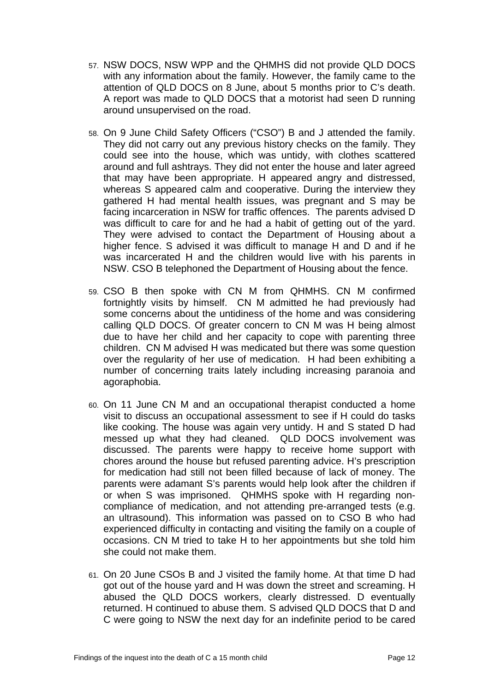- 57. NSW DOCS, NSW WPP and the QHMHS did not provide QLD DOCS with any information about the family. However, the family came to the attention of QLD DOCS on 8 June, about 5 months prior to C's death. A report was made to QLD DOCS that a motorist had seen D running around unsupervised on the road.
- 58. On 9 June Child Safety Officers ("CSO") B and J attended the family. They did not carry out any previous history checks on the family. They could see into the house, which was untidy, with clothes scattered around and full ashtrays. They did not enter the house and later agreed that may have been appropriate. H appeared angry and distressed, whereas S appeared calm and cooperative. During the interview they gathered H had mental health issues, was pregnant and S may be facing incarceration in NSW for traffic offences. The parents advised D was difficult to care for and he had a habit of getting out of the yard. They were advised to contact the Department of Housing about a higher fence. S advised it was difficult to manage H and D and if he was incarcerated H and the children would live with his parents in NSW. CSO B telephoned the Department of Housing about the fence.
- 59. CSO B then spoke with CN M from QHMHS. CN M confirmed fortnightly visits by himself. CN M admitted he had previously had some concerns about the untidiness of the home and was considering calling QLD DOCS. Of greater concern to CN M was H being almost due to have her child and her capacity to cope with parenting three children. CN M advised H was medicated but there was some question over the regularity of her use of medication. H had been exhibiting a number of concerning traits lately including increasing paranoia and agoraphobia.
- 60. On 11 June CN M and an occupational therapist conducted a home visit to discuss an occupational assessment to see if H could do tasks like cooking. The house was again very untidy. H and S stated D had messed up what they had cleaned. QLD DOCS involvement was discussed. The parents were happy to receive home support with chores around the house but refused parenting advice. H's prescription for medication had still not been filled because of lack of money. The parents were adamant S's parents would help look after the children if or when S was imprisoned. QHMHS spoke with H regarding noncompliance of medication, and not attending pre-arranged tests (e.g. an ultrasound). This information was passed on to CSO B who had experienced difficulty in contacting and visiting the family on a couple of occasions. CN M tried to take H to her appointments but she told him she could not make them.
- 61. On 20 June CSOs B and J visited the family home. At that time D had got out of the house yard and H was down the street and screaming. H abused the QLD DOCS workers, clearly distressed. D eventually returned. H continued to abuse them. S advised QLD DOCS that D and C were going to NSW the next day for an indefinite period to be cared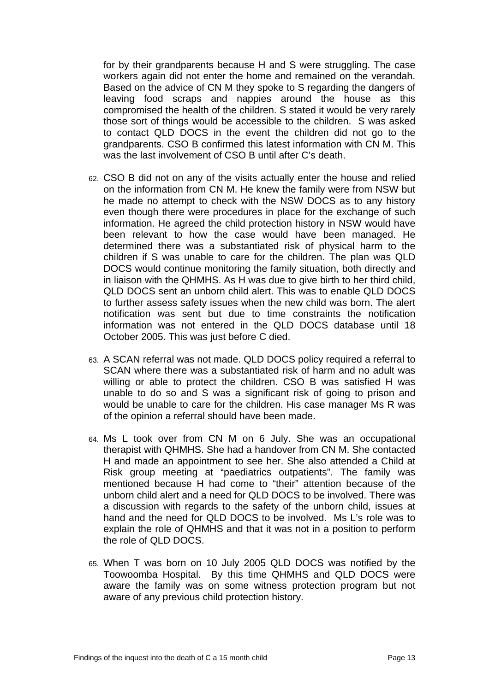for by their grandparents because H and S were struggling. The case workers again did not enter the home and remained on the verandah. Based on the advice of CN M they spoke to S regarding the dangers of leaving food scraps and nappies around the house as this compromised the health of the children. S stated it would be very rarely those sort of things would be accessible to the children. S was asked to contact QLD DOCS in the event the children did not go to the grandparents. CSO B confirmed this latest information with CN M. This was the last involvement of CSO B until after C's death.

- 62. CSO B did not on any of the visits actually enter the house and relied on the information from CN M. He knew the family were from NSW but he made no attempt to check with the NSW DOCS as to any history even though there were procedures in place for the exchange of such information. He agreed the child protection history in NSW would have been relevant to how the case would have been managed. He determined there was a substantiated risk of physical harm to the children if S was unable to care for the children. The plan was QLD DOCS would continue monitoring the family situation, both directly and in liaison with the QHMHS. As H was due to give birth to her third child, QLD DOCS sent an unborn child alert. This was to enable QLD DOCS to further assess safety issues when the new child was born. The alert notification was sent but due to time constraints the notification information was not entered in the QLD DOCS database until 18 October 2005. This was just before C died.
- 63. A SCAN referral was not made. QLD DOCS policy required a referral to SCAN where there was a substantiated risk of harm and no adult was willing or able to protect the children. CSO B was satisfied H was unable to do so and S was a significant risk of going to prison and would be unable to care for the children. His case manager Ms R was of the opinion a referral should have been made.
- 64. Ms L took over from CN M on 6 July. She was an occupational therapist with QHMHS. She had a handover from CN M. She contacted H and made an appointment to see her. She also attended a Child at Risk group meeting at "paediatrics outpatients". The family was mentioned because H had come to "their" attention because of the unborn child alert and a need for QLD DOCS to be involved. There was a discussion with regards to the safety of the unborn child, issues at hand and the need for QLD DOCS to be involved. Ms L's role was to explain the role of QHMHS and that it was not in a position to perform the role of QLD DOCS.
- 65. When T was born on 10 July 2005 QLD DOCS was notified by the Toowoomba Hospital. By this time QHMHS and QLD DOCS were aware the family was on some witness protection program but not aware of any previous child protection history.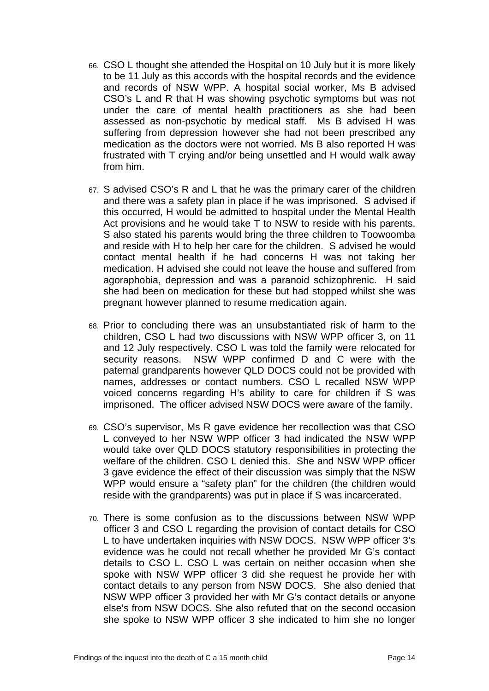- 66. CSO L thought she attended the Hospital on 10 July but it is more likely to be 11 July as this accords with the hospital records and the evidence and records of NSW WPP. A hospital social worker, Ms B advised CSO's L and R that H was showing psychotic symptoms but was not under the care of mental health practitioners as she had been assessed as non-psychotic by medical staff. Ms B advised H was suffering from depression however she had not been prescribed any medication as the doctors were not worried. Ms B also reported H was frustrated with T crying and/or being unsettled and H would walk away from him.
- 67. S advised CSO's R and L that he was the primary carer of the children and there was a safety plan in place if he was imprisoned. S advised if this occurred, H would be admitted to hospital under the Mental Health Act provisions and he would take T to NSW to reside with his parents. S also stated his parents would bring the three children to Toowoomba and reside with H to help her care for the children. S advised he would contact mental health if he had concerns H was not taking her medication. H advised she could not leave the house and suffered from agoraphobia, depression and was a paranoid schizophrenic. H said she had been on medication for these but had stopped whilst she was pregnant however planned to resume medication again.
- 68. Prior to concluding there was an unsubstantiated risk of harm to the children, CSO L had two discussions with NSW WPP officer 3, on 11 and 12 July respectively. CSO L was told the family were relocated for security reasons. NSW WPP confirmed D and C were with the paternal grandparents however QLD DOCS could not be provided with names, addresses or contact numbers. CSO L recalled NSW WPP voiced concerns regarding H's ability to care for children if S was imprisoned. The officer advised NSW DOCS were aware of the family.
- 69. CSO's supervisor, Ms R gave evidence her recollection was that CSO L conveyed to her NSW WPP officer 3 had indicated the NSW WPP would take over QLD DOCS statutory responsibilities in protecting the welfare of the children. CSO L denied this. She and NSW WPP officer 3 gave evidence the effect of their discussion was simply that the NSW WPP would ensure a "safety plan" for the children (the children would reside with the grandparents) was put in place if S was incarcerated.
- 70. There is some confusion as to the discussions between NSW WPP officer 3 and CSO L regarding the provision of contact details for CSO L to have undertaken inquiries with NSW DOCS. NSW WPP officer 3's evidence was he could not recall whether he provided Mr G's contact details to CSO L. CSO L was certain on neither occasion when she spoke with NSW WPP officer 3 did she request he provide her with contact details to any person from NSW DOCS. She also denied that NSW WPP officer 3 provided her with Mr G's contact details or anyone else's from NSW DOCS. She also refuted that on the second occasion she spoke to NSW WPP officer 3 she indicated to him she no longer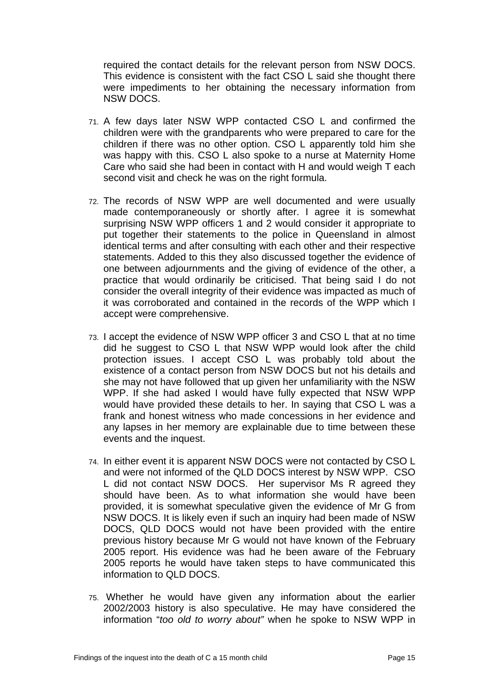required the contact details for the relevant person from NSW DOCS. This evidence is consistent with the fact CSO L said she thought there were impediments to her obtaining the necessary information from NSW DOCS.

- 71. A few days later NSW WPP contacted CSO L and confirmed the children were with the grandparents who were prepared to care for the children if there was no other option. CSO L apparently told him she was happy with this. CSO L also spoke to a nurse at Maternity Home Care who said she had been in contact with H and would weigh T each second visit and check he was on the right formula.
- 72. The records of NSW WPP are well documented and were usually made contemporaneously or shortly after. I agree it is somewhat surprising NSW WPP officers 1 and 2 would consider it appropriate to put together their statements to the police in Queensland in almost identical terms and after consulting with each other and their respective statements. Added to this they also discussed together the evidence of one between adjournments and the giving of evidence of the other, a practice that would ordinarily be criticised. That being said I do not consider the overall integrity of their evidence was impacted as much of it was corroborated and contained in the records of the WPP which I accept were comprehensive.
- 73. I accept the evidence of NSW WPP officer 3 and CSO L that at no time did he suggest to CSO L that NSW WPP would look after the child protection issues. I accept CSO L was probably told about the existence of a contact person from NSW DOCS but not his details and she may not have followed that up given her unfamiliarity with the NSW WPP. If she had asked I would have fully expected that NSW WPP would have provided these details to her. In saying that CSO L was a frank and honest witness who made concessions in her evidence and any lapses in her memory are explainable due to time between these events and the inquest.
- 74. In either event it is apparent NSW DOCS were not contacted by CSO L and were not informed of the QLD DOCS interest by NSW WPP. CSO L did not contact NSW DOCS. Her supervisor Ms R agreed they should have been. As to what information she would have been provided, it is somewhat speculative given the evidence of Mr G from NSW DOCS. It is likely even if such an inquiry had been made of NSW DOCS, QLD DOCS would not have been provided with the entire previous history because Mr G would not have known of the February 2005 report. His evidence was had he been aware of the February 2005 reports he would have taken steps to have communicated this information to QLD DOCS.
- 75. Whether he would have given any information about the earlier 2002/2003 history is also speculative. He may have considered the information "*too old to worry about"* when he spoke to NSW WPP in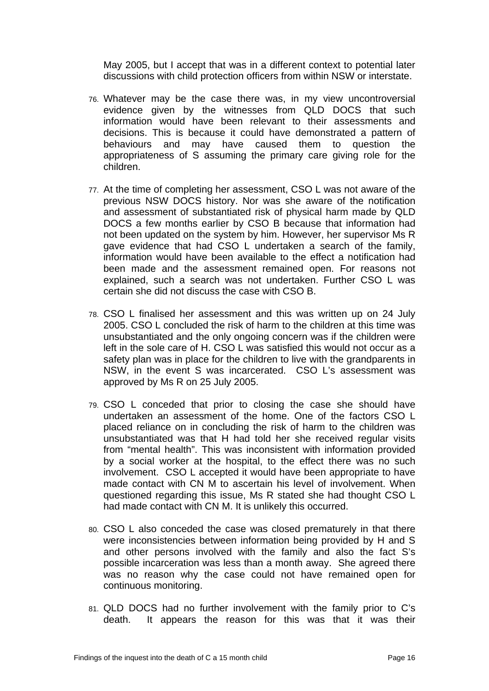May 2005, but I accept that was in a different context to potential later discussions with child protection officers from within NSW or interstate.

- 76. Whatever may be the case there was, in my view uncontroversial evidence given by the witnesses from QLD DOCS that such information would have been relevant to their assessments and decisions. This is because it could have demonstrated a pattern of behaviours and may have caused them to question the appropriateness of S assuming the primary care giving role for the children.
- 77. At the time of completing her assessment, CSO L was not aware of the previous NSW DOCS history. Nor was she aware of the notification and assessment of substantiated risk of physical harm made by QLD DOCS a few months earlier by CSO B because that information had not been updated on the system by him. However, her supervisor Ms R gave evidence that had CSO L undertaken a search of the family, information would have been available to the effect a notification had been made and the assessment remained open. For reasons not explained, such a search was not undertaken. Further CSO L was certain she did not discuss the case with CSO B.
- 78. CSO L finalised her assessment and this was written up on 24 July 2005. CSO L concluded the risk of harm to the children at this time was unsubstantiated and the only ongoing concern was if the children were left in the sole care of H. CSO L was satisfied this would not occur as a safety plan was in place for the children to live with the grandparents in NSW, in the event S was incarcerated. CSO L's assessment was approved by Ms R on 25 July 2005.
- 79. CSO L conceded that prior to closing the case she should have undertaken an assessment of the home. One of the factors CSO L placed reliance on in concluding the risk of harm to the children was unsubstantiated was that H had told her she received regular visits from "mental health". This was inconsistent with information provided by a social worker at the hospital, to the effect there was no such involvement. CSO L accepted it would have been appropriate to have made contact with CN M to ascertain his level of involvement. When questioned regarding this issue, Ms R stated she had thought CSO L had made contact with CN M. It is unlikely this occurred.
- 80. CSO L also conceded the case was closed prematurely in that there were inconsistencies between information being provided by H and S and other persons involved with the family and also the fact S's possible incarceration was less than a month away. She agreed there was no reason why the case could not have remained open for continuous monitoring.
- 81. QLD DOCS had no further involvement with the family prior to C's death. It appears the reason for this was that it was their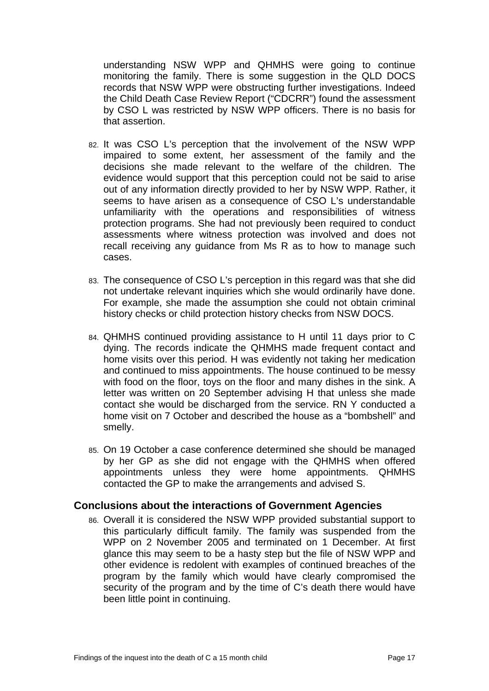<span id="page-18-0"></span>understanding NSW WPP and QHMHS were going to continue monitoring the family. There is some suggestion in the QLD DOCS records that NSW WPP were obstructing further investigations. Indeed the Child Death Case Review Report ("CDCRR") found the assessment by CSO L was restricted by NSW WPP officers. There is no basis for that assertion.

- 82. It was CSO L's perception that the involvement of the NSW WPP impaired to some extent, her assessment of the family and the decisions she made relevant to the welfare of the children. The evidence would support that this perception could not be said to arise out of any information directly provided to her by NSW WPP. Rather, it seems to have arisen as a consequence of CSO L's understandable unfamiliarity with the operations and responsibilities of witness protection programs. She had not previously been required to conduct assessments where witness protection was involved and does not recall receiving any guidance from Ms R as to how to manage such cases.
- 83. The consequence of CSO L's perception in this regard was that she did not undertake relevant inquiries which she would ordinarily have done. For example, she made the assumption she could not obtain criminal history checks or child protection history checks from NSW DOCS.
- 84. QHMHS continued providing assistance to H until 11 days prior to C dying. The records indicate the QHMHS made frequent contact and home visits over this period. H was evidently not taking her medication and continued to miss appointments. The house continued to be messy with food on the floor, toys on the floor and many dishes in the sink. A letter was written on 20 September advising H that unless she made contact she would be discharged from the service. RN Y conducted a home visit on 7 October and described the house as a "bombshell" and smelly.
- 85. On 19 October a case conference determined she should be managed by her GP as she did not engage with the QHMHS when offered appointments unless they were home appointments. QHMHS contacted the GP to make the arrangements and advised S.

#### **Conclusions about the interactions of Government Agencies**

86. Overall it is considered the NSW WPP provided substantial support to this particularly difficult family. The family was suspended from the WPP on 2 November 2005 and terminated on 1 December. At first glance this may seem to be a hasty step but the file of NSW WPP and other evidence is redolent with examples of continued breaches of the program by the family which would have clearly compromised the security of the program and by the time of C's death there would have been little point in continuing.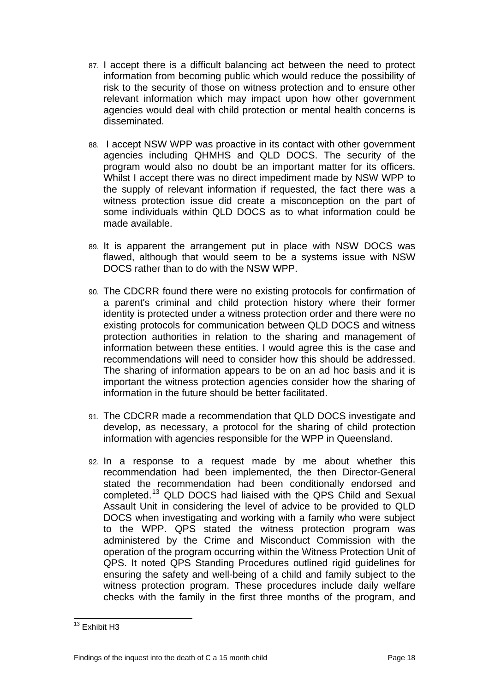- 87. I accept there is a difficult balancing act between the need to protect information from becoming public which would reduce the possibility of risk to the security of those on witness protection and to ensure other relevant information which may impact upon how other government agencies would deal with child protection or mental health concerns is disseminated.
- 88. I accept NSW WPP was proactive in its contact with other government agencies including QHMHS and QLD DOCS. The security of the program would also no doubt be an important matter for its officers. Whilst I accept there was no direct impediment made by NSW WPP to the supply of relevant information if requested, the fact there was a witness protection issue did create a misconception on the part of some individuals within QLD DOCS as to what information could be made available.
- 89. It is apparent the arrangement put in place with NSW DOCS was flawed, although that would seem to be a systems issue with NSW DOCS rather than to do with the NSW WPP.
- 90. The CDCRR found there were no existing protocols for confirmation of a parent's criminal and child protection history where their former identity is protected under a witness protection order and there were no existing protocols for communication between QLD DOCS and witness protection authorities in relation to the sharing and management of information between these entities. I would agree this is the case and recommendations will need to consider how this should be addressed. The sharing of information appears to be on an ad hoc basis and it is important the witness protection agencies consider how the sharing of information in the future should be better facilitated.
- 91. The CDCRR made a recommendation that QLD DOCS investigate and develop, as necessary, a protocol for the sharing of child protection information with agencies responsible for the WPP in Queensland.
- 92. In a response to a request made by me about whether this recommendation had been implemented, the then Director-General stated the recommendation had been conditionally endorsed and completed.[13](#page-19-0) QLD DOCS had liaised with the QPS Child and Sexual Assault Unit in considering the level of advice to be provided to QLD DOCS when investigating and working with a family who were subject to the WPP. QPS stated the witness protection program was administered by the Crime and Misconduct Commission with the operation of the program occurring within the Witness Protection Unit of QPS. It noted QPS Standing Procedures outlined rigid guidelines for ensuring the safety and well-being of a child and family subject to the witness protection program. These procedures include daily welfare checks with the family in the first three months of the program, and

<span id="page-19-0"></span> $13$  Exhibit H3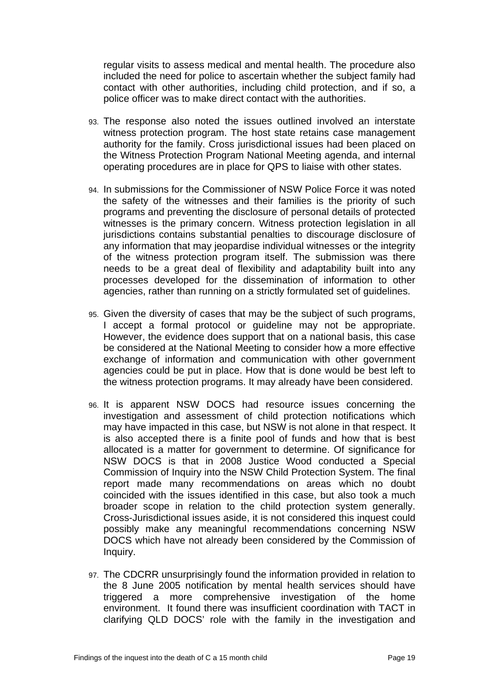regular visits to assess medical and mental health. The procedure also included the need for police to ascertain whether the subject family had contact with other authorities, including child protection, and if so, a police officer was to make direct contact with the authorities.

- 93. The response also noted the issues outlined involved an interstate witness protection program. The host state retains case management authority for the family. Cross jurisdictional issues had been placed on the Witness Protection Program National Meeting agenda, and internal operating procedures are in place for QPS to liaise with other states.
- 94. In submissions for the Commissioner of NSW Police Force it was noted the safety of the witnesses and their families is the priority of such programs and preventing the disclosure of personal details of protected witnesses is the primary concern. Witness protection legislation in all jurisdictions contains substantial penalties to discourage disclosure of any information that may jeopardise individual witnesses or the integrity of the witness protection program itself. The submission was there needs to be a great deal of flexibility and adaptability built into any processes developed for the dissemination of information to other agencies, rather than running on a strictly formulated set of guidelines.
- 95. Given the diversity of cases that may be the subject of such programs, I accept a formal protocol or guideline may not be appropriate. However, the evidence does support that on a national basis, this case be considered at the National Meeting to consider how a more effective exchange of information and communication with other government agencies could be put in place. How that is done would be best left to the witness protection programs. It may already have been considered.
- 96. It is apparent NSW DOCS had resource issues concerning the investigation and assessment of child protection notifications which may have impacted in this case, but NSW is not alone in that respect. It is also accepted there is a finite pool of funds and how that is best allocated is a matter for government to determine. Of significance for NSW DOCS is that in 2008 Justice Wood conducted a Special Commission of Inquiry into the NSW Child Protection System. The final report made many recommendations on areas which no doubt coincided with the issues identified in this case, but also took a much broader scope in relation to the child protection system generally. Cross-Jurisdictional issues aside, it is not considered this inquest could possibly make any meaningful recommendations concerning NSW DOCS which have not already been considered by the Commission of Inquiry.
- 97. The CDCRR unsurprisingly found the information provided in relation to the 8 June 2005 notification by mental health services should have triggered a more comprehensive investigation of the home environment. It found there was insufficient coordination with TACT in clarifying QLD DOCS' role with the family in the investigation and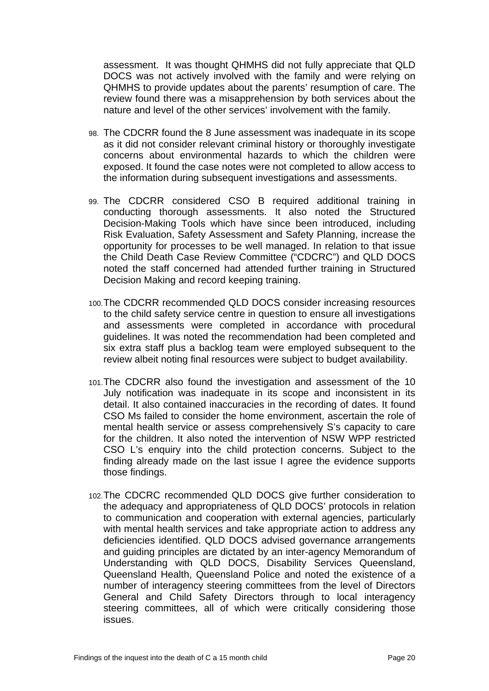assessment. It was thought QHMHS did not fully appreciate that QLD DOCS was not actively involved with the family and were relying on QHMHS to provide updates about the parents' resumption of care. The review found there was a misapprehension by both services about the nature and level of the other services' involvement with the family.

- 98. The CDCRR found the 8 June assessment was inadequate in its scope as it did not consider relevant criminal history or thoroughly investigate concerns about environmental hazards to which the children were exposed. It found the case notes were not completed to allow access to the information during subsequent investigations and assessments.
- 99. The CDCRR considered CSO B required additional training in conducting thorough assessments. It also noted the Structured Decision-Making Tools which have since been introduced, including Risk Evaluation, Safety Assessment and Safety Planning, increase the opportunity for processes to be well managed. In relation to that issue the Child Death Case Review Committee ("CDCRC") and QLD DOCS noted the staff concerned had attended further training in Structured Decision Making and record keeping training.
- 100. The CDCRR recommended QLD DOCS consider increasing resources to the child safety service centre in question to ensure all investigations and assessments were completed in accordance with procedural guidelines. It was noted the recommendation had been completed and six extra staff plus a backlog team were employed subsequent to the review albeit noting final resources were subject to budget availability.
- 101. The CDCRR also found the investigation and assessment of the 10 July notification was inadequate in its scope and inconsistent in its detail. It also contained inaccuracies in the recording of dates. It found CSO Ms failed to consider the home environment, ascertain the role of mental health service or assess comprehensively S's capacity to care for the children. It also noted the intervention of NSW WPP restricted CSO L's enquiry into the child protection concerns. Subject to the finding already made on the last issue I agree the evidence supports those findings.
- 102. The CDCRC recommended QLD DOCS give further consideration to the adequacy and appropriateness of QLD DOCS' protocols in relation to communication and cooperation with external agencies, particularly with mental health services and take appropriate action to address any deficiencies identified. QLD DOCS advised governance arrangements and guiding principles are dictated by an inter-agency Memorandum of Understanding with QLD DOCS, Disability Services Queensland, Queensland Health, Queensland Police and noted the existence of a number of interagency steering committees from the level of Directors General and Child Safety Directors through to local interagency steering committees, all of which were critically considering those issues.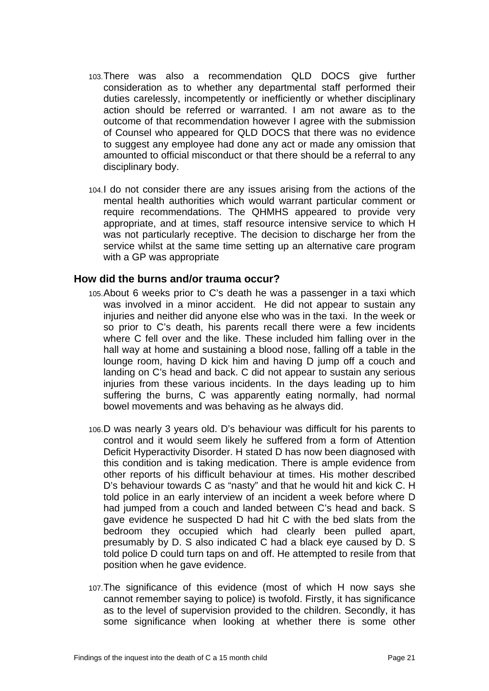- <span id="page-22-0"></span>103. There was also a recommendation QLD DOCS give further consideration as to whether any departmental staff performed their duties carelessly, incompetently or inefficiently or whether disciplinary action should be referred or warranted. I am not aware as to the outcome of that recommendation however I agree with the submission of Counsel who appeared for QLD DOCS that there was no evidence to suggest any employee had done any act or made any omission that amounted to official misconduct or that there should be a referral to any disciplinary body.
- 104. I do not consider there are any issues arising from the actions of the mental health authorities which would warrant particular comment or require recommendations. The QHMHS appeared to provide very appropriate, and at times, staff resource intensive service to which H was not particularly receptive. The decision to discharge her from the service whilst at the same time setting up an alternative care program with a GP was appropriate

#### **How did the burns and/or trauma occur?**

- 105. About 6 weeks prior to C's death he was a passenger in a taxi which was involved in a minor accident. He did not appear to sustain any injuries and neither did anyone else who was in the taxi. In the week or so prior to C's death, his parents recall there were a few incidents where C fell over and the like. These included him falling over in the hall way at home and sustaining a blood nose, falling off a table in the lounge room, having D kick him and having D jump off a couch and landing on C's head and back. C did not appear to sustain any serious injuries from these various incidents. In the days leading up to him suffering the burns, C was apparently eating normally, had normal bowel movements and was behaving as he always did.
- 106. D was nearly 3 years old. D's behaviour was difficult for his parents to control and it would seem likely he suffered from a form of Attention Deficit Hyperactivity Disorder. H stated D has now been diagnosed with this condition and is taking medication. There is ample evidence from other reports of his difficult behaviour at times. His mother described D's behaviour towards C as "nasty" and that he would hit and kick C. H told police in an early interview of an incident a week before where D had jumped from a couch and landed between C's head and back. S gave evidence he suspected D had hit C with the bed slats from the bedroom they occupied which had clearly been pulled apart, presumably by D. S also indicated C had a black eye caused by D. S told police D could turn taps on and off. He attempted to resile from that position when he gave evidence.
- 107. The significance of this evidence (most of which H now says she cannot remember saying to police) is twofold. Firstly, it has significance as to the level of supervision provided to the children. Secondly, it has some significance when looking at whether there is some other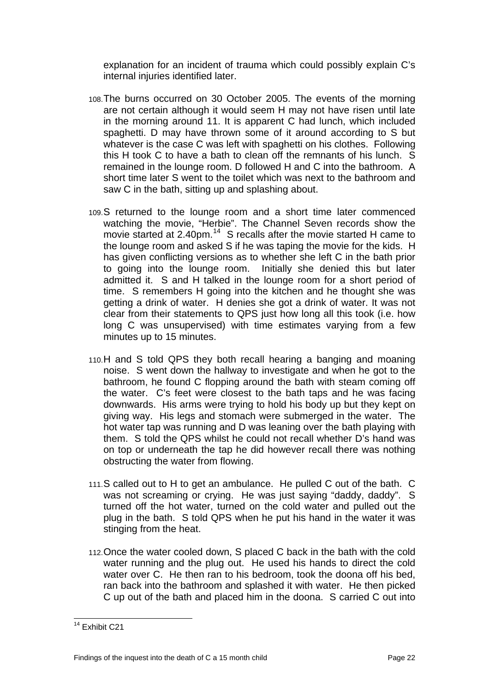explanation for an incident of trauma which could possibly explain C's internal injuries identified later.

- 108. The burns occurred on 30 October 2005. The events of the morning are not certain although it would seem H may not have risen until late in the morning around 11. It is apparent C had lunch, which included spaghetti. D may have thrown some of it around according to S but whatever is the case C was left with spaghetti on his clothes. Following this H took C to have a bath to clean off the remnants of his lunch. S remained in the lounge room. D followed H and C into the bathroom. A short time later S went to the toilet which was next to the bathroom and saw C in the bath, sitting up and splashing about.
- 109. S returned to the lounge room and a short time later commenced watching the movie, "Herbie". The Channel Seven records show the movie started at 2.40pm.<sup>[14](#page-23-0)</sup> S recalls after the movie started H came to the lounge room and asked S if he was taping the movie for the kids. H has given conflicting versions as to whether she left C in the bath prior to going into the lounge room. Initially she denied this but later admitted it. S and H talked in the lounge room for a short period of time. S remembers H going into the kitchen and he thought she was getting a drink of water. H denies she got a drink of water. It was not clear from their statements to QPS just how long all this took (i.e. how long C was unsupervised) with time estimates varying from a few minutes up to 15 minutes.
- 110. H and S told QPS they both recall hearing a banging and moaning noise. S went down the hallway to investigate and when he got to the bathroom, he found C flopping around the bath with steam coming off the water. C's feet were closest to the bath taps and he was facing downwards. His arms were trying to hold his body up but they kept on giving way. His legs and stomach were submerged in the water. The hot water tap was running and D was leaning over the bath playing with them. S told the QPS whilst he could not recall whether D's hand was on top or underneath the tap he did however recall there was nothing obstructing the water from flowing.
- 111. S called out to H to get an ambulance. He pulled C out of the bath. C was not screaming or crying. He was just saying "daddy, daddy". S turned off the hot water, turned on the cold water and pulled out the plug in the bath. S told QPS when he put his hand in the water it was stinging from the heat.
- 112. Once the water cooled down, S placed C back in the bath with the cold water running and the plug out. He used his hands to direct the cold water over C. He then ran to his bedroom, took the doona off his bed, ran back into the bathroom and splashed it with water. He then picked C up out of the bath and placed him in the doona. S carried C out into

<span id="page-23-0"></span><sup>&</sup>lt;sup>14</sup> Exhibit C21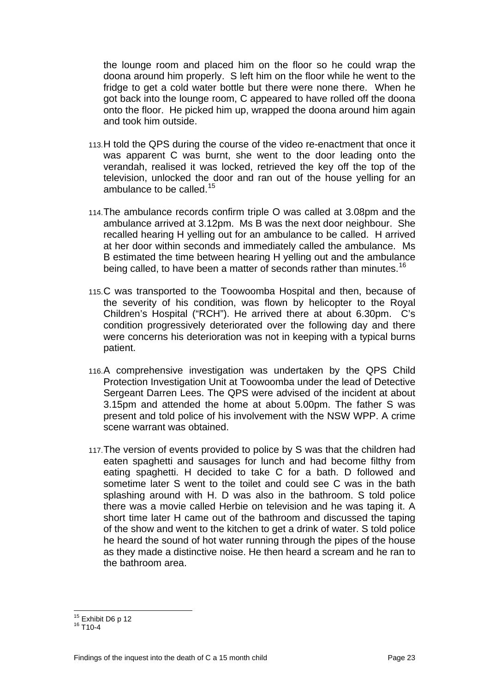the lounge room and placed him on the floor so he could wrap the doona around him properly. S left him on the floor while he went to the fridge to get a cold water bottle but there were none there. When he got back into the lounge room, C appeared to have rolled off the doona onto the floor. He picked him up, wrapped the doona around him again and took him outside.

- 113. H told the QPS during the course of the video re-enactment that once it was apparent C was burnt, she went to the door leading onto the verandah, realised it was locked, retrieved the key off the top of the television, unlocked the door and ran out of the house yelling for an ambulance to be called.<sup>[15](#page-24-0)</sup>
- 114. The ambulance records confirm triple O was called at 3.08pm and the ambulance arrived at 3.12pm. Ms B was the next door neighbour. She recalled hearing H yelling out for an ambulance to be called. H arrived at her door within seconds and immediately called the ambulance. Ms B estimated the time between hearing H yelling out and the ambulance being called, to have been a matter of seconds rather than minutes.<sup>[16](#page-24-1)</sup>
- 115. C was transported to the Toowoomba Hospital and then, because of the severity of his condition, was flown by helicopter to the Royal Children's Hospital ("RCH"). He arrived there at about 6.30pm. C's condition progressively deteriorated over the following day and there were concerns his deterioration was not in keeping with a typical burns patient.
- 116. A comprehensive investigation was undertaken by the QPS Child Protection Investigation Unit at Toowoomba under the lead of Detective Sergeant Darren Lees. The QPS were advised of the incident at about 3.15pm and attended the home at about 5.00pm. The father S was present and told police of his involvement with the NSW WPP. A crime scene warrant was obtained.
- 117. The version of events provided to police by S was that the children had eaten spaghetti and sausages for lunch and had become filthy from eating spaghetti. H decided to take C for a bath. D followed and sometime later S went to the toilet and could see C was in the bath splashing around with H. D was also in the bathroom. S told police there was a movie called Herbie on television and he was taping it. A short time later H came out of the bathroom and discussed the taping of the show and went to the kitchen to get a drink of water. S told police he heard the sound of hot water running through the pipes of the house as they made a distinctive noise. He then heard a scream and he ran to the bathroom area.

 <sup>15</sup> Exhibit D6 p 12<br><sup>16</sup> T10-4

<span id="page-24-1"></span><span id="page-24-0"></span>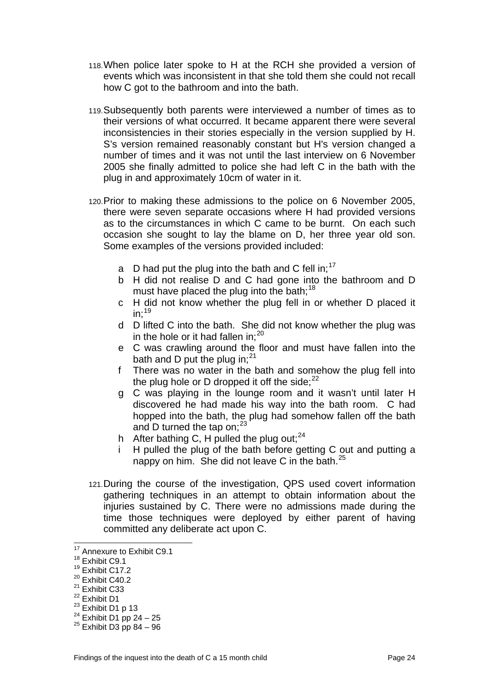- 118. When police later spoke to H at the RCH she provided a version of events which was inconsistent in that she told them she could not recall how C got to the bathroom and into the bath.
- 119. Subsequently both parents were interviewed a number of times as to their versions of what occurred. It became apparent there were several inconsistencies in their stories especially in the version supplied by H. S's version remained reasonably constant but H's version changed a number of times and it was not until the last interview on 6 November 2005 she finally admitted to police she had left C in the bath with the plug in and approximately 10cm of water in it.
- 120. Prior to making these admissions to the police on 6 November 2005, there were seven separate occasions where H had provided versions as to the circumstances in which C came to be burnt. On each such occasion she sought to lay the blame on D, her three year old son. Some examples of the versions provided included:
	- a D had put the plug into the bath and C fell in;  $17$
	- b H did not realise D and C had gone into the bathroom and D must have placed the plug into the bath;  $18$
	- c H did not know whether the plug fell in or whether D placed it  $in:$ <sup>[19](#page-25-2)</sup>
	- d D lifted C into the bath. She did not know whether the plug was in the hole or it had fallen in; $^{20}$  $^{20}$  $^{20}$
	- e C was crawling around the floor and must have fallen into the bath and D put the plug in; $^{21}$  $^{21}$  $^{21}$
	- f There was no water in the bath and somehow the plug fell into the plug hole or D dropped it off the side; $^{22}$  $^{22}$  $^{22}$
	- g C was playing in the lounge room and it wasn't until later H discovered he had made his way into the bath room. C had hopped into the bath, the plug had somehow fallen off the bath and D turned the tap on: $^{23}$  $^{23}$  $^{23}$
	- h After bathing C, H pulled the plug out:  $24$
	- i H pulled the plug of the bath before getting C out and putting a nappy on him. She did not leave C in the bath. $25$
- 121. During the course of the investigation, QPS used covert information gathering techniques in an attempt to obtain information about the injuries sustained by C. There were no admissions made during the time those techniques were deployed by either parent of having committed any deliberate act upon C.

<sup>&</sup>lt;sup>17</sup> Annexure to Exhibit C9.1

<span id="page-25-1"></span><span id="page-25-0"></span><sup>&</sup>lt;sup>18</sup> Exhibit C9.1

<span id="page-25-2"></span><sup>&</sup>lt;sup>19</sup> Exhibit C17.2

<span id="page-25-3"></span><sup>&</sup>lt;sup>20</sup> Exhibit C40.2

<span id="page-25-4"></span><sup>&</sup>lt;sup>21</sup> Exhibit C33

<span id="page-25-5"></span> $\frac{22}{23}$  Exhibit D1<br> $\frac{23}{23}$  Exhibit D1 p 13

<span id="page-25-7"></span><span id="page-25-6"></span><sup>&</sup>lt;sup>24</sup> Exhibit D1 pp 24 – 25<br><sup>25</sup> Exhibit D3 pp 84 – 96

<span id="page-25-8"></span>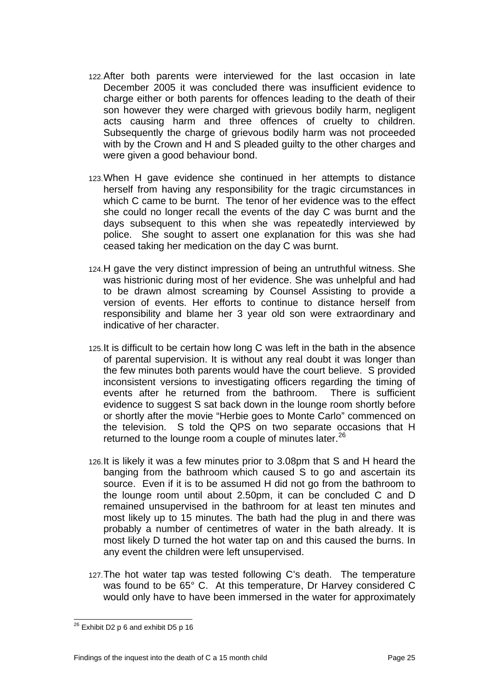- 122. After both parents were interviewed for the last occasion in late December 2005 it was concluded there was insufficient evidence to charge either or both parents for offences leading to the death of their son however they were charged with grievous bodily harm, negligent acts causing harm and three offences of cruelty to children. Subsequently the charge of grievous bodily harm was not proceeded with by the Crown and H and S pleaded guilty to the other charges and were given a good behaviour bond.
- 123. When H gave evidence she continued in her attempts to distance herself from having any responsibility for the tragic circumstances in which C came to be burnt. The tenor of her evidence was to the effect she could no longer recall the events of the day C was burnt and the days subsequent to this when she was repeatedly interviewed by police. She sought to assert one explanation for this was she had ceased taking her medication on the day C was burnt.
- 124. H gave the very distinct impression of being an untruthful witness. She was histrionic during most of her evidence. She was unhelpful and had to be drawn almost screaming by Counsel Assisting to provide a version of events. Her efforts to continue to distance herself from responsibility and blame her 3 year old son were extraordinary and indicative of her character.
- 125. It is difficult to be certain how long C was left in the bath in the absence of parental supervision. It is without any real doubt it was longer than the few minutes both parents would have the court believe. S provided inconsistent versions to investigating officers regarding the timing of events after he returned from the bathroom. There is sufficient evidence to suggest S sat back down in the lounge room shortly before or shortly after the movie "Herbie goes to Monte Carlo" commenced on the television. S told the QPS on two separate occasions that H returned to the lounge room a couple of minutes later.<sup>[26](#page-26-0)</sup>
- 126. It is likely it was a few minutes prior to 3.08pm that S and H heard the banging from the bathroom which caused S to go and ascertain its source. Even if it is to be assumed H did not go from the bathroom to the lounge room until about 2.50pm, it can be concluded C and D remained unsupervised in the bathroom for at least ten minutes and most likely up to 15 minutes. The bath had the plug in and there was probably a number of centimetres of water in the bath already. It is most likely D turned the hot water tap on and this caused the burns. In any event the children were left unsupervised.
- 127. The hot water tap was tested following C's death. The temperature was found to be 65° C. At this temperature, Dr Harvey considered C would only have to have been immersed in the water for approximately

 $\overline{\phantom{a}}$ 

<span id="page-26-0"></span> $^{26}$  Exhibit D2 p 6 and exhibit D5 p 16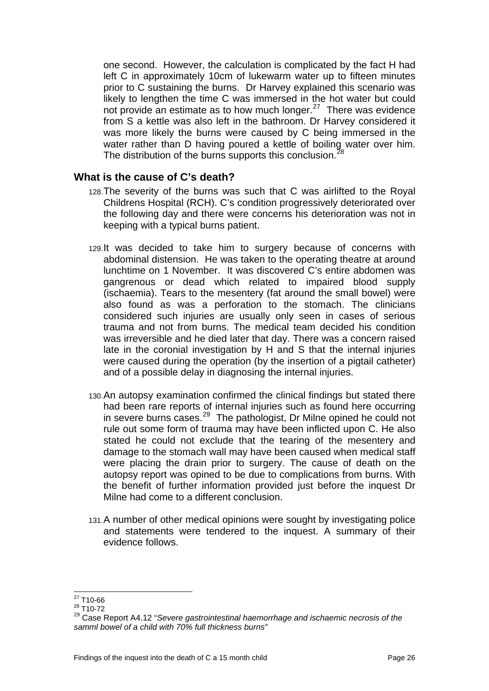<span id="page-27-0"></span>one second. However, the calculation is complicated by the fact H had left C in approximately 10cm of lukewarm water up to fifteen minutes prior to C sustaining the burns. Dr Harvey explained this scenario was likely to lengthen the time C was immersed in the hot water but could not provide an estimate as to how much longer. $27$  There was evidence from S a kettle was also left in the bathroom. Dr Harvey considered it was more likely the burns were caused by C being immersed in the water rather than D having poured a kettle of boiling water over him. The distribution of the burns supports this conclusion.<sup>[28](#page-27-2)</sup>

#### **What is the cause of C's death?**

- 128. The severity of the burns was such that C was airlifted to the Royal Childrens Hospital (RCH). C's condition progressively deteriorated over the following day and there were concerns his deterioration was not in keeping with a typical burns patient.
- 129. It was decided to take him to surgery because of concerns with abdominal distension. He was taken to the operating theatre at around lunchtime on 1 November. It was discovered C's entire abdomen was gangrenous or dead which related to impaired blood supply (ischaemia). Tears to the mesentery (fat around the small bowel) were also found as was a perforation to the stomach. The clinicians considered such injuries are usually only seen in cases of serious trauma and not from burns. The medical team decided his condition was irreversible and he died later that day. There was a concern raised late in the coronial investigation by H and S that the internal injuries were caused during the operation (by the insertion of a pigtail catheter) and of a possible delay in diagnosing the internal injuries.
- 130. An autopsy examination confirmed the clinical findings but stated there had been rare reports of internal injuries such as found here occurring in severe burns cases.<sup>[29](#page-27-3)</sup> The pathologist, Dr Milne opined he could not rule out some form of trauma may have been inflicted upon C. He also stated he could not exclude that the tearing of the mesentery and damage to the stomach wall may have been caused when medical staff were placing the drain prior to surgery. The cause of death on the autopsy report was opined to be due to complications from burns. With the benefit of further information provided just before the inquest Dr Milne had come to a different conclusion.
- 131. A number of other medical opinions were sought by investigating police and statements were tendered to the inquest. A summary of their evidence follows.

 $27$  T10-66

<span id="page-27-2"></span><span id="page-27-1"></span> $28$  T<sub>10-72</sub>

<span id="page-27-3"></span><sup>29</sup> Case Report A4.12 "*Severe gastrointestinal haemorrhage and ischaemic necrosis of the samml bowel of a child with 70% full thickness burns"*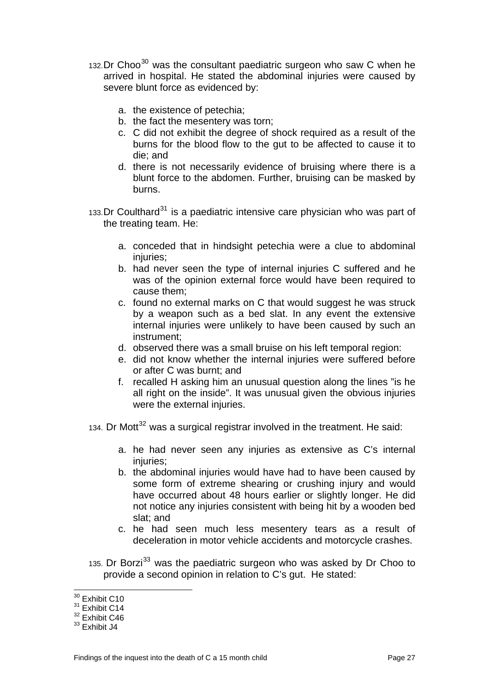- 132. Dr Choo<sup>[30](#page-28-0)</sup> was the consultant paediatric surgeon who saw C when he arrived in hospital. He stated the abdominal injuries were caused by severe blunt force as evidenced by:
	- a. the existence of petechia;
	- b. the fact the mesentery was torn;
	- c. C did not exhibit the degree of shock required as a result of the burns for the blood flow to the gut to be affected to cause it to die; and
	- d. there is not necessarily evidence of bruising where there is a blunt force to the abdomen. Further, bruising can be masked by burns.
- 133. Dr Coulthard<sup>[31](#page-28-1)</sup> is a paediatric intensive care physician who was part of the treating team. He:
	- a. conceded that in hindsight petechia were a clue to abdominal injuries:
	- b. had never seen the type of internal injuries C suffered and he was of the opinion external force would have been required to cause them;
	- c. found no external marks on C that would suggest he was struck by a weapon such as a bed slat. In any event the extensive internal injuries were unlikely to have been caused by such an instrument;
	- d. observed there was a small bruise on his left temporal region:
	- e. did not know whether the internal injuries were suffered before or after C was burnt; and
	- f. recalled H asking him an unusual question along the lines "is he all right on the inside". It was unusual given the obvious injuries were the external injuries.
- 134. Dr Mott<sup>[32](#page-28-2)</sup> was a surgical registrar involved in the treatment. He said:
	- a. he had never seen any injuries as extensive as C's internal injuries;
	- b. the abdominal injuries would have had to have been caused by some form of extreme shearing or crushing injury and would have occurred about 48 hours earlier or slightly longer. He did not notice any injuries consistent with being hit by a wooden bed slat; and
	- c. he had seen much less mesentery tears as a result of deceleration in motor vehicle accidents and motorcycle crashes.
- 135. Dr Borzi<sup>[33](#page-28-3)</sup> was the paediatric surgeon who was asked by Dr Choo to provide a second opinion in relation to C's gut. He stated:

  $30$  Exhibit C10

<span id="page-28-1"></span><span id="page-28-0"></span><sup>&</sup>lt;sup>31</sup> Exhibit C14

<span id="page-28-2"></span> $32$  Exhibit C46

<span id="page-28-3"></span> $33$  Exhibit  $14$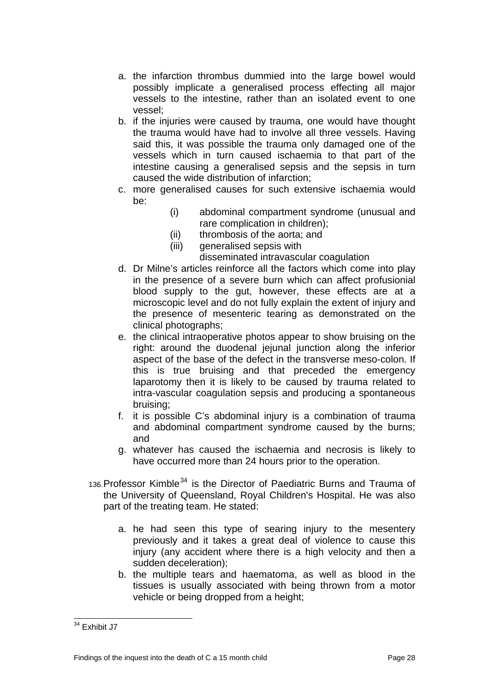- a. the infarction thrombus dummied into the large bowel would possibly implicate a generalised process effecting all major vessels to the intestine, rather than an isolated event to one vessel;
- b. if the injuries were caused by trauma, one would have thought the trauma would have had to involve all three vessels. Having said this, it was possible the trauma only damaged one of the vessels which in turn caused ischaemia to that part of the intestine causing a generalised sepsis and the sepsis in turn caused the wide distribution of infarction;
- c. more generalised causes for such extensive ischaemia would be:
	- (i) abdominal compartment syndrome (unusual and rare complication in children);
	- (ii) thrombosis of the aorta; and
	- (iii) generalised sepsis with
		- disseminated intravascular coagulation
- d. Dr Milne's articles reinforce all the factors which come into play in the presence of a severe burn which can affect profusionial blood supply to the gut, however, these effects are at a microscopic level and do not fully explain the extent of injury and the presence of mesenteric tearing as demonstrated on the clinical photographs;
- e. the clinical intraoperative photos appear to show bruising on the right: around the duodenal jejunal junction along the inferior aspect of the base of the defect in the transverse meso-colon. If this is true bruising and that preceded the emergency laparotomy then it is likely to be caused by trauma related to intra-vascular coagulation sepsis and producing a spontaneous bruising;
- f. it is possible C's abdominal injury is a combination of trauma and abdominal compartment syndrome caused by the burns; and
- g. whatever has caused the ischaemia and necrosis is likely to have occurred more than 24 hours prior to the operation.
- 136. Professor Kimble<sup>[34](#page-29-0)</sup> is the Director of Paediatric Burns and Trauma of the University of Queensland, Royal Children's Hospital. He was also part of the treating team. He stated:
	- a. he had seen this type of searing injury to the mesentery previously and it takes a great deal of violence to cause this injury (any accident where there is a high velocity and then a sudden deceleration);
	- b. the multiple tears and haematoma, as well as blood in the tissues is usually associated with being thrown from a motor vehicle or being dropped from a height;

<span id="page-29-0"></span>  $34$  Exhibit J7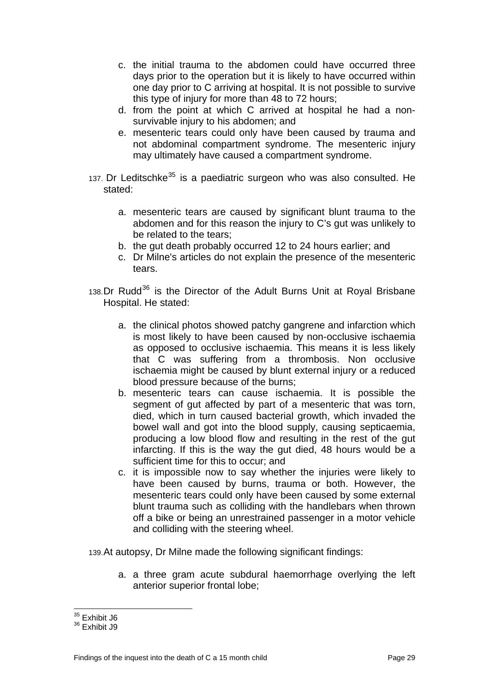- c. the initial trauma to the abdomen could have occurred three days prior to the operation but it is likely to have occurred within one day prior to C arriving at hospital. It is not possible to survive this type of injury for more than 48 to 72 hours;
- d. from the point at which C arrived at hospital he had a nonsurvivable injury to his abdomen; and
- e. mesenteric tears could only have been caused by trauma and not abdominal compartment syndrome. The mesenteric injury may ultimately have caused a compartment syndrome.
- 137. Dr Leditschke<sup>[35](#page-30-0)</sup> is a paediatric surgeon who was also consulted. He stated:
	- a. mesenteric tears are caused by significant blunt trauma to the abdomen and for this reason the injury to C's gut was unlikely to be related to the tears;
	- b. the gut death probably occurred 12 to 24 hours earlier; and
	- c. Dr Milne's articles do not explain the presence of the mesenteric tears.
- 138. Dr Rudd<sup>[36](#page-30-1)</sup> is the Director of the Adult Burns Unit at Royal Brisbane Hospital. He stated:
	- a. the clinical photos showed patchy gangrene and infarction which is most likely to have been caused by non-occlusive ischaemia as opposed to occlusive ischaemia. This means it is less likely that C was suffering from a thrombosis. Non occlusive ischaemia might be caused by blunt external injury or a reduced blood pressure because of the burns;
	- b. mesenteric tears can cause ischaemia. It is possible the segment of gut affected by part of a mesenteric that was torn, died, which in turn caused bacterial growth, which invaded the bowel wall and got into the blood supply, causing septicaemia, producing a low blood flow and resulting in the rest of the gut infarcting. If this is the way the gut died, 48 hours would be a sufficient time for this to occur; and
	- c. it is impossible now to say whether the injuries were likely to have been caused by burns, trauma or both. However, the mesenteric tears could only have been caused by some external blunt trauma such as colliding with the handlebars when thrown off a bike or being an unrestrained passenger in a motor vehicle and colliding with the steering wheel.

139. At autopsy, Dr Milne made the following significant findings:

a. a three gram acute subdural haemorrhage overlying the left anterior superior frontal lobe;

<sup>&</sup>lt;sup>35</sup> Exhibit J6

<span id="page-30-1"></span><span id="page-30-0"></span><sup>36</sup> Exhibit J9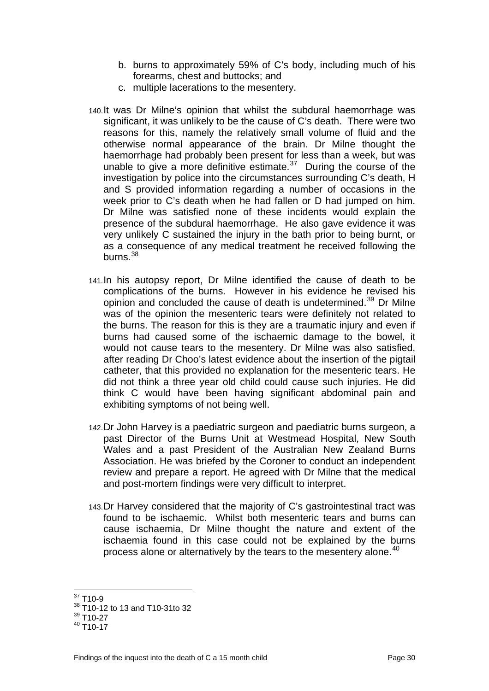- b. burns to approximately 59% of C's body, including much of his forearms, chest and buttocks; and
- c. multiple lacerations to the mesentery.
- 140. It was Dr Milne's opinion that whilst the subdural haemorrhage was significant, it was unlikely to be the cause of C's death. There were two reasons for this, namely the relatively small volume of fluid and the otherwise normal appearance of the brain. Dr Milne thought the haemorrhage had probably been present for less than a week, but was unable to give a more definitive estimate.<sup>[37](#page-31-0)</sup> During the course of the investigation by police into the circumstances surrounding C's death, H and S provided information regarding a number of occasions in the week prior to C's death when he had fallen or D had jumped on him. Dr Milne was satisfied none of these incidents would explain the presence of the subdural haemorrhage. He also gave evidence it was very unlikely C sustained the injury in the bath prior to being burnt, or as a consequence of any medical treatment he received following the burns.<sup>[38](#page-31-1)</sup>
- 141. In his autopsy report, Dr Milne identified the cause of death to be complications of the burns. However in his evidence he revised his opinion and concluded the cause of death is undetermined.<sup>[39](#page-31-2)</sup> Dr Milne was of the opinion the mesenteric tears were definitely not related to the burns. The reason for this is they are a traumatic injury and even if burns had caused some of the ischaemic damage to the bowel, it would not cause tears to the mesentery. Dr Milne was also satisfied, after reading Dr Choo's latest evidence about the insertion of the pigtail catheter, that this provided no explanation for the mesenteric tears. He did not think a three year old child could cause such injuries. He did think C would have been having significant abdominal pain and exhibiting symptoms of not being well.
- 142. Dr John Harvey is a paediatric surgeon and paediatric burns surgeon, a past Director of the Burns Unit at Westmead Hospital, New South Wales and a past President of the Australian New Zealand Burns Association. He was briefed by the Coroner to conduct an independent review and prepare a report. He agreed with Dr Milne that the medical and post-mortem findings were very difficult to interpret.
- 143. Dr Harvey considered that the majority of C's gastrointestinal tract was found to be ischaemic. Whilst both mesenteric tears and burns can cause ischaemia, Dr Milne thought the nature and extent of the ischaemia found in this case could not be explained by the burns process alone or alternatively by the tears to the mesentery alone.<sup>[40](#page-31-3)</sup>

 $37$  T10-9

<span id="page-31-1"></span><span id="page-31-0"></span><sup>38</sup> T10-12 to 13 and T10-31to 32

<span id="page-31-2"></span><sup>39</sup> T10-27

<span id="page-31-3"></span> $40$  T<sub>10</sub>-17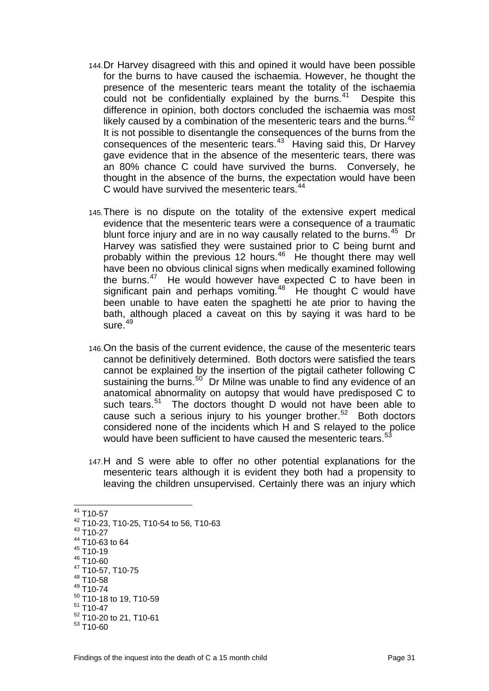- 144. Dr Harvey disagreed with this and opined it would have been possible for the burns to have caused the ischaemia. However, he thought the presence of the mesenteric tears meant the totality of the ischaemia could not be confidentially explained by the burns. $41$  Despite this difference in opinion, both doctors concluded the ischaemia was most likely caused by a combination of the mesenteric tears and the burns. $42$ It is not possible to disentangle the consequences of the burns from the consequences of the mesenteric tears.[43](#page-32-2) Having said this, Dr Harvey gave evidence that in the absence of the mesenteric tears, there was an 80% chance C could have survived the burns. Conversely, he thought in the absence of the burns, the expectation would have been C would have survived the mesenteric tears.<sup>[44](#page-32-3)</sup>
- 145. There is no dispute on the totality of the extensive expert medical evidence that the mesenteric tears were a consequence of a traumatic blunt force injury and are in no way causally related to the burns.<sup>[45](#page-32-4)</sup> Dr Harvey was satisfied they were sustained prior to C being burnt and probably within the previous 12 hours.<sup>[46](#page-32-5)</sup> He thought there may well have been no obvious clinical signs when medically examined following the burns. $47$  He would however have expected C to have been in significant pain and perhaps vomiting.<sup>[48](#page-32-7)</sup> He thought C would have been unable to have eaten the spaghetti he ate prior to having the bath, although placed a caveat on this by saying it was hard to be  $s$ ure. $49$
- 146. On the basis of the current evidence, the cause of the mesenteric tears cannot be definitively determined. Both doctors were satisfied the tears cannot be explained by the insertion of the pigtail catheter following C sustaining the burns.<sup>[50](#page-32-9)</sup> Dr Milne was unable to find any evidence of an anatomical abnormality on autopsy that would have predisposed C to such tears.<sup>[51](#page-32-10)</sup> The doctors thought D would not have been able to cause such a serious injury to his younger brother.<sup>[52](#page-32-11)</sup> Both doctors considered none of the incidents which H and S relayed to the police would have been sufficient to have caused the mesenteric tears.<sup>5</sup>
- 147. H and S were able to offer no other potential explanations for the mesenteric tears although it is evident they both had a propensity to leaving the children unsupervised. Certainly there was an injury which

<span id="page-32-3"></span><span id="page-32-2"></span><span id="page-32-1"></span><span id="page-32-0"></span> $41$  T10-57 42 T10-23, T10-25, T10-54 to 56, T10-63 43 T10-27 44 T10-63 to 64 45 T10-19 46 T10-60 47 T10-57, T10-75 48 T10-58

<span id="page-32-8"></span><span id="page-32-7"></span><span id="page-32-6"></span><span id="page-32-5"></span><span id="page-32-4"></span><sup>49</sup> T10-74

<span id="page-32-9"></span><sup>50</sup> T10-18 to 19, T10-59

<span id="page-32-10"></span><sup>51</sup> T10-47

<sup>52</sup> T10-20 to 21, T10-61

<span id="page-32-12"></span><span id="page-32-11"></span><sup>53</sup> T10-60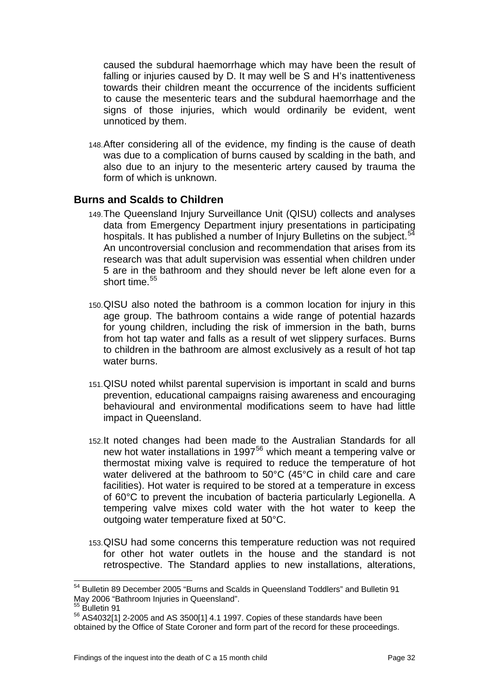<span id="page-33-0"></span>caused the subdural haemorrhage which may have been the result of falling or injuries caused by D. It may well be S and H's inattentiveness towards their children meant the occurrence of the incidents sufficient to cause the mesenteric tears and the subdural haemorrhage and the signs of those injuries, which would ordinarily be evident, went unnoticed by them.

148. After considering all of the evidence, my finding is the cause of death was due to a complication of burns caused by scalding in the bath, and also due to an injury to the mesenteric artery caused by trauma the form of which is unknown.

#### **Burns and Scalds to Children**

- 149. The Queensland Injury Surveillance Unit (QISU) collects and analyses data from Emergency Department injury presentations in participating hospitals. It has published a number of Injury Bulletins on the subject.<sup>[54](#page-33-1)</sup> An uncontroversial conclusion and recommendation that arises from its research was that adult supervision was essential when children under 5 are in the bathroom and they should never be left alone even for a short time.<sup>[55](#page-33-2)</sup>
- 150. QISU also noted the bathroom is a common location for injury in this age group. The bathroom contains a wide range of potential hazards for young children, including the risk of immersion in the bath, burns from hot tap water and falls as a result of wet slippery surfaces. Burns to children in the bathroom are almost exclusively as a result of hot tap water burns.
- 151. QISU noted whilst parental supervision is important in scald and burns prevention, educational campaigns raising awareness and encouraging behavioural and environmental modifications seem to have had little impact in Queensland.
- 152. It noted changes had been made to the Australian Standards for all new hot water installations in 1997<sup>[56](#page-33-3)</sup> which meant a tempering valve or thermostat mixing valve is required to reduce the temperature of hot water delivered at the bathroom to 50°C (45°C in child care and care facilities). Hot water is required to be stored at a temperature in excess of 60°C to prevent the incubation of bacteria particularly Legionella. A tempering valve mixes cold water with the hot water to keep the outgoing water temperature fixed at 50°C.
- 153. QISU had some concerns this temperature reduction was not required for other hot water outlets in the house and the standard is not retrospective. The Standard applies to new installations, alterations,

<span id="page-33-1"></span><sup>&</sup>lt;sup>54</sup> Bulletin 89 December 2005 "Burns and Scalds in Queensland Toddlers" and Bulletin 91 May 2006 "Bathroom Injuries in Queensland".

<span id="page-33-2"></span><sup>55</sup> Bulletin 91

<span id="page-33-3"></span><sup>56</sup> AS4032[1] 2-2005 and AS 3500[1] 4.1 1997. Copies of these standards have been obtained by the Office of State Coroner and form part of the record for these proceedings.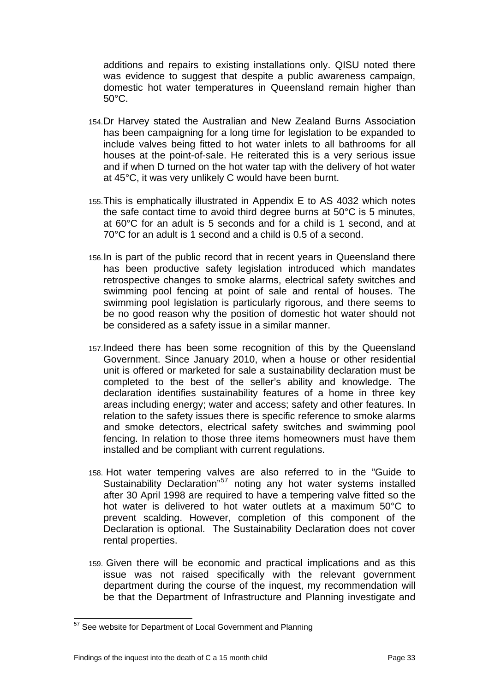additions and repairs to existing installations only. QISU noted there was evidence to suggest that despite a public awareness campaign, domestic hot water temperatures in Queensland remain higher than 50°C.

- 154. Dr Harvey stated the Australian and New Zealand Burns Association has been campaigning for a long time for legislation to be expanded to include valves being fitted to hot water inlets to all bathrooms for all houses at the point-of-sale. He reiterated this is a very serious issue and if when D turned on the hot water tap with the delivery of hot water at 45°C, it was very unlikely C would have been burnt.
- 155. This is emphatically illustrated in Appendix E to AS 4032 which notes the safe contact time to avoid third degree burns at 50°C is 5 minutes, at 60°C for an adult is 5 seconds and for a child is 1 second, and at 70°C for an adult is 1 second and a child is 0.5 of a second.
- 156. In is part of the public record that in recent years in Queensland there has been productive safety legislation introduced which mandates retrospective changes to smoke alarms, electrical safety switches and swimming pool fencing at point of sale and rental of houses. The swimming pool legislation is particularly rigorous, and there seems to be no good reason why the position of domestic hot water should not be considered as a safety issue in a similar manner.
- 157. Indeed there has been some recognition of this by the Queensland Government. Since January 2010, when a house or other residential unit is offered or marketed for sale a sustainability declaration must be completed to the best of the seller's ability and knowledge. The declaration identifies sustainability features of a home in three key areas including energy; water and access; safety and other features. In relation to the safety issues there is specific reference to smoke alarms and smoke detectors, electrical safety switches and swimming pool fencing. In relation to those three items homeowners must have them installed and be compliant with current regulations.
- 158.Hot water tempering valves are also referred to in the "Guide to Sustainability Declaration<sup>"[57](#page-34-0)</sup> noting any hot water systems installed after 30 April 1998 are required to have a tempering valve fitted so the hot water is delivered to hot water outlets at a maximum 50°C to prevent scalding. However, completion of this component of the Declaration is optional. The Sustainability Declaration does not cover rental properties.
- 159.Given there will be economic and practical implications and as this issue was not raised specifically with the relevant government department during the course of the inquest, my recommendation will be that the Department of Infrastructure and Planning investigate and

<span id="page-34-0"></span>  $57$  See website for Department of Local Government and Planning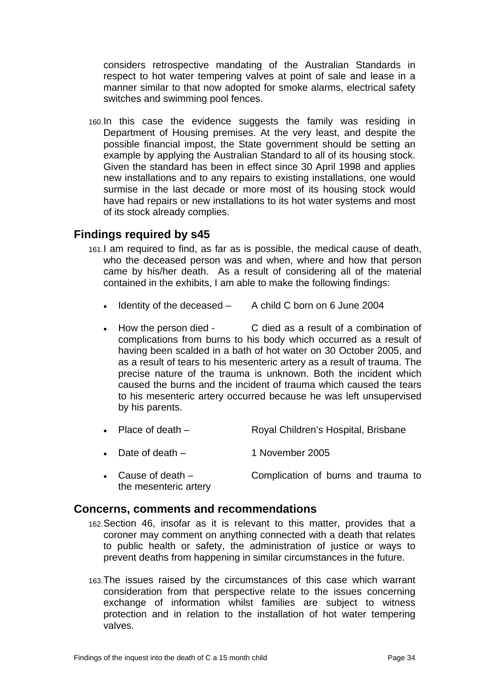<span id="page-35-0"></span>considers retrospective mandating of the Australian Standards in respect to hot water tempering valves at point of sale and lease in a manner similar to that now adopted for smoke alarms, electrical safety switches and swimming pool fences.

160. In this case the evidence suggests the family was residing in Department of Housing premises. At the very least, and despite the possible financial impost, the State government should be setting an example by applying the Australian Standard to all of its housing stock. Given the standard has been in effect since 30 April 1998 and applies new installations and to any repairs to existing installations, one would surmise in the last decade or more most of its housing stock would have had repairs or new installations to its hot water systems and most of its stock already complies.

## **Findings required by s45**

- 161. I am required to find, as far as is possible, the medical cause of death, who the deceased person was and when, where and how that person came by his/her death. As a result of considering all of the material contained in the exhibits, I am able to make the following findings:
	- Identity of the deceased A child C born on 6 June 2004
	- How the person died C died as a result of a combination of complications from burns to his body which occurred as a result of having been scalded in a bath of hot water on 30 October 2005, and as a result of tears to his mesenteric artery as a result of trauma. The precise nature of the trauma is unknown. Both the incident which caused the burns and the incident of trauma which caused the tears to his mesenteric artery occurred because he was left unsupervised by his parents.
	- Place of death Royal Children's Hospital, Brisbane
	- Date of death 1 November 2005
	- Cause of death Complication of burns and trauma to the mesenteric artery

## **Concerns, comments and recommendations**

- 162. Section 46, insofar as it is relevant to this matter, provides that a coroner may comment on anything connected with a death that relates to public health or safety, the administration of justice or ways to prevent deaths from happening in similar circumstances in the future.
- 163. The issues raised by the circumstances of this case which warrant consideration from that perspective relate to the issues concerning exchange of information whilst families are subject to witness protection and in relation to the installation of hot water tempering valves.